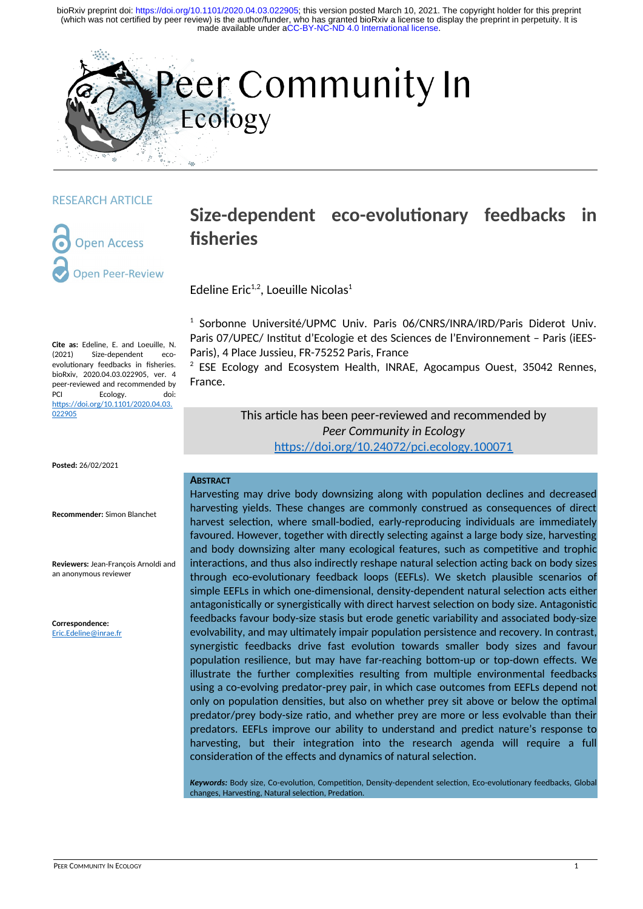

#### RESEARCH ARTICLE

**Open Access pen Peer-Review** 

# **Size-dependent eco-evolutionary feedbacks in fisheries**

Edeline Eric $1,2}$ , Loeuille Nicolas<sup>1</sup>

<sup>1</sup> Sorbonne Université/UPMC Univ. Paris 06/CNRS/INRA/IRD/Paris Diderot Univ. Paris 07/UPEC/ Institut d'Ecologie et des Sciences de l'Environnement – Paris (iEES-Paris), 4 Place Jussieu, FR-75252 Paris, France

 $2$  ESE Ecology and Ecosystem Health, INRAE, Agocampus Ouest, 35042 Rennes, France.

> This article has been peer-reviewed and recommended by *Peer Community in Ecology* <https://doi.org/10.24072/pci.ecology.100071>

#### **ABSTRACT**

Harvesting may drive body downsizing along with population declines and decreased harvesting yields. These changes are commonly construed as consequences of direct harvest selection, where small-bodied, early-reproducing individuals are immediately favoured. However, together with directly selecting against a large body size, harvesting and body downsizing alter many ecological features, such as competitive and trophic interactions, and thus also indirectly reshape natural selection acting back on body sizes through eco-evolutionary feedback loops (EEFLs). We sketch plausible scenarios of simple EEFLs in which one-dimensional, density-dependent natural selection acts either antagonistically or synergistically with direct harvest selection on body size. Antagonistic feedbacks favour body-size stasis but erode genetic variability and associated body-size evolvability, and may ultimately impair population persistence and recovery. In contrast, synergistic feedbacks drive fast evolution towards smaller body sizes and favour population resilience, but may have far-reaching bottom-up or top-down effects. We illustrate the further complexities resulting from multiple environmental feedbacks using a co-evolving predator-prey pair, in which case outcomes from EEFLs depend not only on population densities, but also on whether prey sit above or below the optimal predator/prey body-size ratio, and whether prey are more or less evolvable than their predators. EEFLs improve our ability to understand and predict nature's response to harvesting, but their integration into the research agenda will require a full consideration of the effects and dynamics of natural selection.

*Keywords:* Body size, Co-evolution, Competition, Density-dependent selection, Eco-evolutionary feedbacks, Global changes, Harvesting, Natural selection, Predation.

**Cite as:** Edeline, E. and Loeuille, N. (2021) Size-dependent ecoevolutionary feedbacks in fisheries. bioRxiv, 2020.04.03.022905, ver. 4 peer-reviewed and recommended by<br>PCL Frology. doi: Ecology. [https://doi.org/10.1101/2020.04.03.](https://doi.org/10.1101/2020.04.03.022905) [022905](https://doi.org/10.1101/2020.04.03.022905)

**Posted:** 26/02/2021

**Recommender:** Simon Blanchet

**Reviewers:** Jean-François Arnoldi and an anonymous reviewer

**Correspondence:** [Eric.Edeline@inrae.fr](mailto:Eric.Edeline@inrae.fr)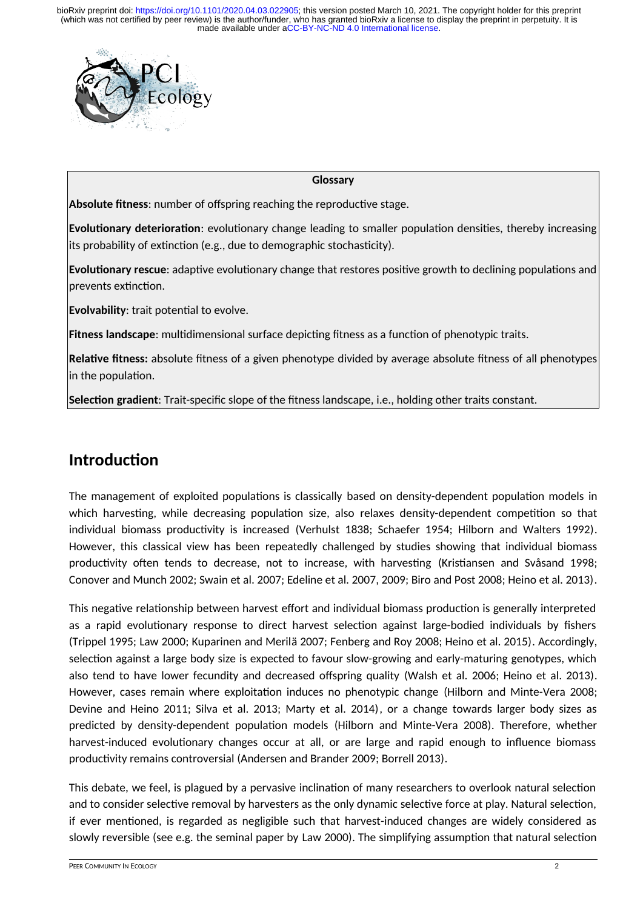

#### **Glossary**

**Absolute fitness**: number of offspring reaching the reproductive stage.

**Evolutionary deterioration**: evolutionary change leading to smaller population densities, thereby increasing its probability of extinction (e.g., due to demographic stochasticity).

**Evolutionary rescue**: adaptive evolutionary change that restores positive growth to declining populations and prevents extinction.

**Evolvability**: trait potential to evolve.

**Fitness landscape**: multidimensional surface depicting fitness as a function of phenotypic traits.

**Relative fitness:** absolute fitness of a given phenotype divided by average absolute fitness of all phenotypes in the population.

**Selection gradient**: Trait-specific slope of the fitness landscape, i.e., holding other traits constant.

## **Introduction**

The management of exploited populations is classically based on density-dependent population models in which harvesting, while decreasing population size, also relaxes density-dependent competition so that individual biomass productivity is increased (Verhulst 1838; Schaefer 1954; Hilborn and Walters 1992). However, this classical view has been repeatedly challenged by studies showing that individual biomass productivity often tends to decrease, not to increase, with harvesting (Kristiansen and Svåsand 1998; Conover and Munch 2002; Swain et al. 2007; Edeline et al. 2007, 2009; Biro and Post 2008; Heino et al. 2013).

This negative relationship between harvest effort and individual biomass production is generally interpreted as a rapid evolutionary response to direct harvest selection against large-bodied individuals by fishers (Trippel 1995; Law 2000; Kuparinen and Merilä 2007; Fenberg and Roy 2008; Heino et al. 2015). Accordingly, selection against a large body size is expected to favour slow-growing and early-maturing genotypes, which also tend to have lower fecundity and decreased offspring quality (Walsh et al. 2006; Heino et al. 2013). However, cases remain where exploitation induces no phenotypic change (Hilborn and Minte-Vera 2008; Devine and Heino 2011; Silva et al. 2013; Marty et al. 2014), or a change towards larger body sizes as predicted by density-dependent population models (Hilborn and Minte-Vera 2008). Therefore, whether harvest-induced evolutionary changes occur at all, or are large and rapid enough to influence biomass productivity remains controversial (Andersen and Brander 2009; Borrell 2013).

This debate, we feel, is plagued by a pervasive inclination of many researchers to overlook natural selection and to consider selective removal by harvesters as the only dynamic selective force at play. Natural selection, if ever mentioned, is regarded as negligible such that harvest-induced changes are widely considered as slowly reversible (see e.g. the seminal paper by Law 2000). The simplifying assumption that natural selection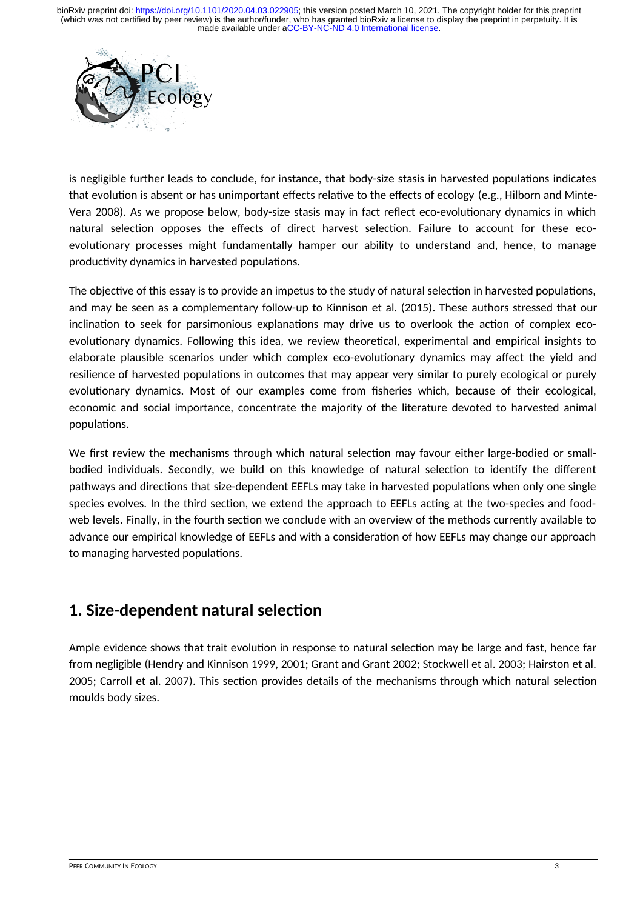

is negligible further leads to conclude, for instance, that body-size stasis in harvested populations indicates that evolution is absent or has unimportant effects relative to the effects of ecology (e.g., Hilborn and Minte-Vera 2008). As we propose below, body-size stasis may in fact reflect eco-evolutionary dynamics in which natural selection opposes the effects of direct harvest selection. Failure to account for these ecoevolutionary processes might fundamentally hamper our ability to understand and, hence, to manage productivity dynamics in harvested populations.

The objective of this essay is to provide an impetus to the study of natural selection in harvested populations, and may be seen as a complementary follow-up to Kinnison et al. (2015). These authors stressed that our inclination to seek for parsimonious explanations may drive us to overlook the action of complex ecoevolutionary dynamics. Following this idea, we review theoretical, experimental and empirical insights to elaborate plausible scenarios under which complex eco-evolutionary dynamics may affect the yield and resilience of harvested populations in outcomes that may appear very similar to purely ecological or purely evolutionary dynamics. Most of our examples come from fisheries which, because of their ecological, economic and social importance, concentrate the majority of the literature devoted to harvested animal populations.

We first review the mechanisms through which natural selection may favour either large-bodied or smallbodied individuals. Secondly, we build on this knowledge of natural selection to identify the different pathways and directions that size-dependent EEFLs may take in harvested populations when only one single species evolves. In the third section, we extend the approach to EEFLs acting at the two-species and foodweb levels. Finally, in the fourth section we conclude with an overview of the methods currently available to advance our empirical knowledge of EEFLs and with a consideration of how EEFLs may change our approach to managing harvested populations.

## **1. Size-dependent natural selection**

Ample evidence shows that trait evolution in response to natural selection may be large and fast, hence far from negligible (Hendry and Kinnison 1999, 2001; Grant and Grant 2002; Stockwell et al. 2003; Hairston et al. 2005; Carroll et al. 2007). This section provides details of the mechanisms through which natural selection moulds body sizes.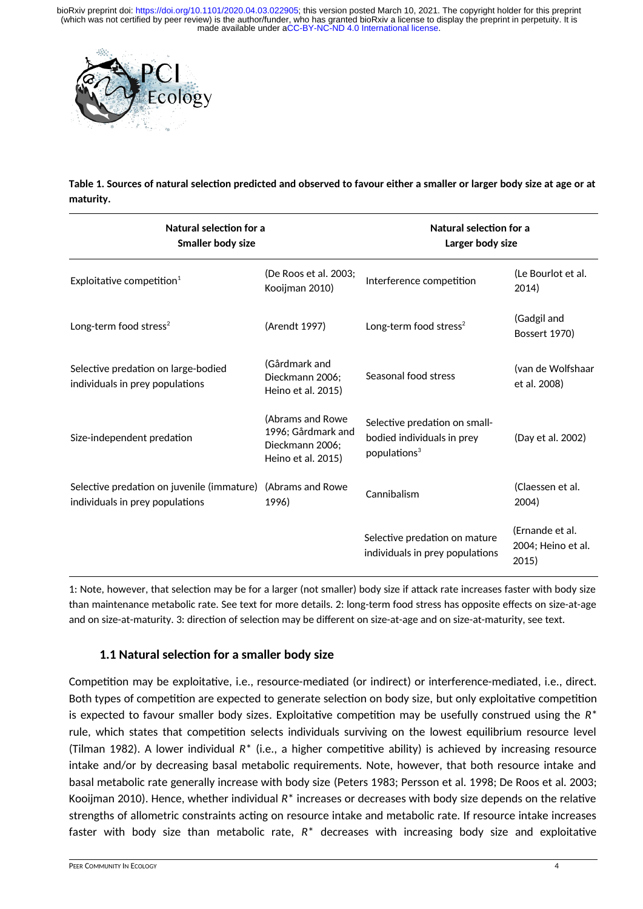

**Table 1. Sources of natural selection predicted and observed to favour either a smaller or larger body size at age or at maturity.**

| Natural selection for a<br><b>Smaller body size</b>                           |                                                                                 | Natural selection for a<br>Larger body size                                             |                                                |
|-------------------------------------------------------------------------------|---------------------------------------------------------------------------------|-----------------------------------------------------------------------------------------|------------------------------------------------|
| Exploitative competition $1$                                                  | (De Roos et al. 2003;<br>Kooijman 2010)                                         | Interference competition                                                                | (Le Bourlot et al.<br>2014)                    |
| Long-term food stress <sup>2</sup>                                            | (Arendt 1997)                                                                   | Long-term food stress <sup>2</sup>                                                      | (Gadgil and<br>Bossert 1970)                   |
| Selective predation on large-bodied<br>individuals in prey populations        | (Gårdmark and<br>Dieckmann 2006;<br>Heino et al. 2015)                          | Seasonal food stress                                                                    | (van de Wolfshaar<br>et al. 2008)              |
| Size-independent predation                                                    | (Abrams and Rowe<br>1996; Gårdmark and<br>Dieckmann 2006:<br>Heino et al. 2015) | Selective predation on small-<br>bodied individuals in prey<br>populations <sup>3</sup> | (Day et al. 2002)                              |
| Selective predation on juvenile (immature)<br>individuals in prey populations | (Abrams and Rowe<br>1996)                                                       | Cannibalism                                                                             | (Claessen et al.<br>2004)                      |
|                                                                               |                                                                                 | Selective predation on mature<br>individuals in prey populations                        | (Ernande et al.<br>2004; Heino et al.<br>2015) |

1: Note, however, that selection may be for a larger (not smaller) body size if attack rate increases faster with body size than maintenance metabolic rate. See text for more details. 2: long-term food stress has opposite effects on size-at-age and on size-at-maturity. 3: direction of selection may be different on size-at-age and on size-at-maturity, see text.

### **1.1 Natural selection for a smaller body size**

Competition may be exploitative, i.e., resource-mediated (or indirect) or interference-mediated, i.e., direct. Both types of competition are expected to generate selection on body size, but only exploitative competition is expected to favour smaller body sizes. Exploitative competition may be usefully construed using the *R*\* rule, which states that competition selects individuals surviving on the lowest equilibrium resource level (Tilman 1982). A lower individual *R*\* (i.e., a higher competitive ability) is achieved by increasing resource intake and/or by decreasing basal metabolic requirements. Note, however, that both resource intake and basal metabolic rate generally increase with body size (Peters 1983; Persson et al. 1998; De Roos et al. 2003; Kooijman 2010). Hence, whether individual *R*\* increases or decreases with body size depends on the relative strengths of allometric constraints acting on resource intake and metabolic rate. If resource intake increases faster with body size than metabolic rate, *R*\* decreases with increasing body size and exploitative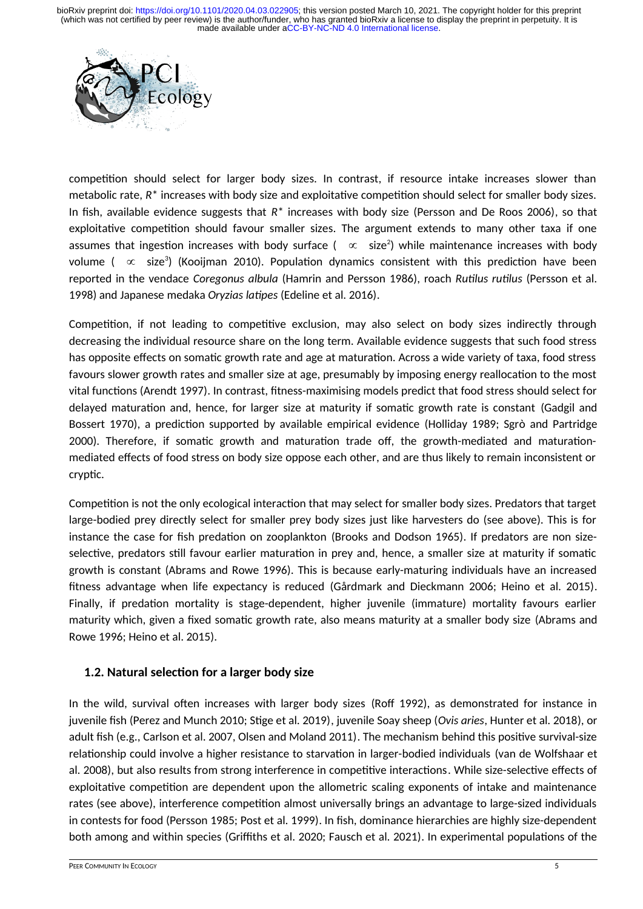

competition should select for larger body sizes. In contrast, if resource intake increases slower than metabolic rate, *R*\* increases with body size and exploitative competition should select for smaller body sizes. In fish, available evidence suggests that *R*\* increases with body size (Persson and De Roos 2006), so that exploitative competition should favour smaller sizes. The argument extends to many other taxa if one assumes that ingestion increases with body surface (  $~\propto~$  size $^{2})$  while maintenance increases with body volume (  $\,\propto\,$  size $^3$ ) (Kooijman 2010). Population dynamics consistent with this prediction have been reported in the vendace *Coregonus albula* (Hamrin and Persson 1986), roach *Rutilus rutilus* (Persson et al. 1998) and Japanese medaka *Oryzias latipes* (Edeline et al. 2016).

Competition, if not leading to competitive exclusion, may also select on body sizes indirectly through decreasing the individual resource share on the long term. Available evidence suggests that such food stress has opposite effects on somatic growth rate and age at maturation. Across a wide variety of taxa, food stress favours slower growth rates and smaller size at age, presumably by imposing energy reallocation to the most vital functions (Arendt 1997). In contrast, fitness-maximising models predict that food stress should select for delayed maturation and, hence, for larger size at maturity if somatic growth rate is constant (Gadgil and Bossert 1970), a prediction supported by available empirical evidence (Holliday 1989; Sgrò and Partridge 2000). Therefore, if somatic growth and maturation trade off, the growth-mediated and maturationmediated effects of food stress on body size oppose each other, and are thus likely to remain inconsistent or cryptic.

Competition is not the only ecological interaction that may select for smaller body sizes. Predators that target large-bodied prey directly select for smaller prey body sizes just like harvesters do (see above). This is for instance the case for fish predation on zooplankton (Brooks and Dodson 1965). If predators are non sizeselective, predators still favour earlier maturation in prey and, hence, a smaller size at maturity if somatic growth is constant (Abrams and Rowe 1996). This is because early-maturing individuals have an increased fitness advantage when life expectancy is reduced (Gårdmark and Dieckmann 2006; Heino et al. 2015). Finally, if predation mortality is stage-dependent, higher juvenile (immature) mortality favours earlier maturity which, given a fixed somatic growth rate, also means maturity at a smaller body size (Abrams and Rowe 1996; Heino et al. 2015).

### **1.2. Natural selection for a larger body size**

In the wild, survival often increases with larger body sizes (Roff 1992), as demonstrated for instance in juvenile fish (Perez and Munch 2010; Stige et al. 2019), juvenile Soay sheep (*Ovis aries*, Hunter et al. 2018), or adult fish (e.g., Carlson et al. 2007, Olsen and Moland 2011). The mechanism behind this positive survival-size relationship could involve a higher resistance to starvation in larger-bodied individuals (van de Wolfshaar et al. 2008), but also results from strong interference in competitive interactions. While size-selective effects of exploitative competition are dependent upon the allometric scaling exponents of intake and maintenance rates (see above), interference competition almost universally brings an advantage to large-sized individuals in contests for food (Persson 1985; Post et al. 1999). In fish, dominance hierarchies are highly size-dependent both among and within species (Griffiths et al. 2020; Fausch et al. 2021). In experimental populations of the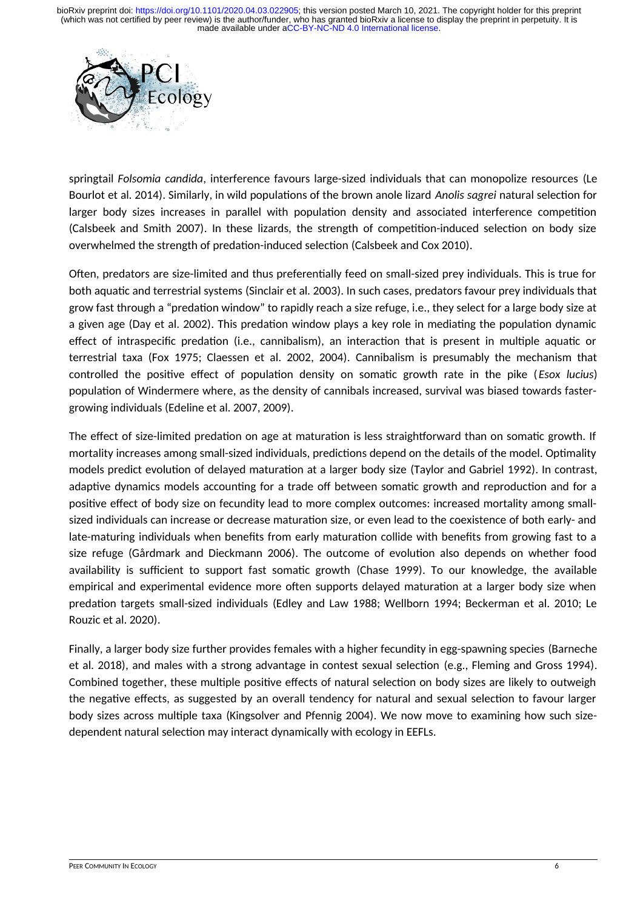

springtail *Folsomia candida*, interference favours large-sized individuals that can monopolize resources (Le Bourlot et al. 2014). Similarly, in wild populations of the brown anole lizard *Anolis sagrei* natural selection for larger body sizes increases in parallel with population density and associated interference competition (Calsbeek and Smith 2007). In these lizards, the strength of competition-induced selection on body size overwhelmed the strength of predation-induced selection (Calsbeek and Cox 2010).

Often, predators are size-limited and thus preferentially feed on small-sized prey individuals. This is true for both aquatic and terrestrial systems (Sinclair et al. 2003). In such cases, predators favour prey individuals that grow fast through a "predation window" to rapidly reach a size refuge, i.e., they select for a large body size at a given age (Day et al. 2002). This predation window plays a key role in mediating the population dynamic effect of intraspecific predation (i.e., cannibalism), an interaction that is present in multiple aquatic or terrestrial taxa (Fox 1975; Claessen et al. 2002, 2004). Cannibalism is presumably the mechanism that controlled the positive effect of population density on somatic growth rate in the pike (*Esox lucius*) population of Windermere where, as the density of cannibals increased, survival was biased towards fastergrowing individuals (Edeline et al. 2007, 2009).

The effect of size-limited predation on age at maturation is less straightforward than on somatic growth. If mortality increases among small-sized individuals, predictions depend on the details of the model. Optimality models predict evolution of delayed maturation at a larger body size (Taylor and Gabriel 1992). In contrast, adaptive dynamics models accounting for a trade off between somatic growth and reproduction and for a positive effect of body size on fecundity lead to more complex outcomes: increased mortality among smallsized individuals can increase or decrease maturation size, or even lead to the coexistence of both early- and late-maturing individuals when benefits from early maturation collide with benefits from growing fast to a size refuge (Gårdmark and Dieckmann 2006). The outcome of evolution also depends on whether food availability is sufficient to support fast somatic growth (Chase 1999). To our knowledge, the available empirical and experimental evidence more often supports delayed maturation at a larger body size when predation targets small-sized individuals (Edley and Law 1988; Wellborn 1994; Beckerman et al. 2010; Le Rouzic et al. 2020).

Finally, a larger body size further provides females with a higher fecundity in egg-spawning species (Barneche et al. 2018), and males with a strong advantage in contest sexual selection (e.g., Fleming and Gross 1994). Combined together, these multiple positive effects of natural selection on body sizes are likely to outweigh the negative effects, as suggested by an overall tendency for natural and sexual selection to favour larger body sizes across multiple taxa (Kingsolver and Pfennig 2004). We now move to examining how such sizedependent natural selection may interact dynamically with ecology in EEFLs.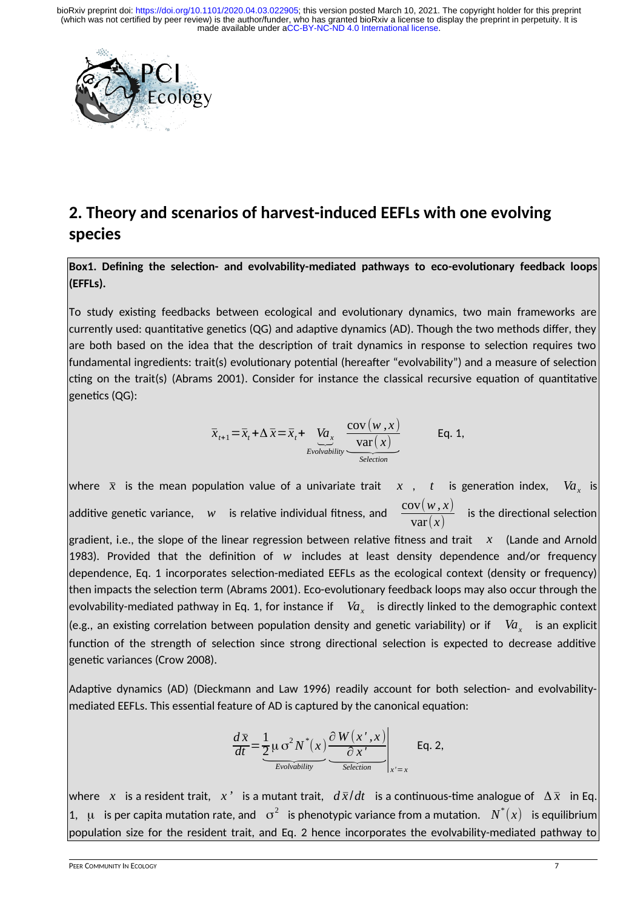

## **2. Theory and scenarios of harvest-induced EEFLs with one evolving species**

**Box1. Defining the selection- and evolvability-mediated pathways to eco-evolutionary feedback loops (EFFLs).**

To study existing feedbacks between ecological and evolutionary dynamics, two main frameworks are currently used: quantitative genetics (QG) and adaptive dynamics (AD). Though the two methods differ, they are both based on the idea that the description of trait dynamics in response to selection requires two fundamental ingredients: trait(s) evolutionary potential (hereafter "evolvability") and a measure of selection cting on the trait(s) (Abrams 2001). Consider for instance the classical recursive equation of quantitative genetics (QG):

$$
\overline{x}_{t+1} = \overline{x}_t + \Delta \overline{x} = \overline{x}_t + \underbrace{V a_x}_{\text{Evolvability}} \underbrace{\frac{\text{cov}(w, x)}{\text{var}(x)}}_{\text{Selection}} \qquad \text{Eq. 1,}
$$

where  $\bar{x}$  is the mean population value of a univariate trait  $\bar{x}$  ,  $\bar{t}$  is generation index,  $\bar{V}\!a_{_{\chi}}$  is additive genetic variance, *w* is relative individual fitness, and  $\frac{\partial V(x, y, z)}{\partial x}$  is the directional selection

gradient, i.e., the slope of the linear regression between relative fitness and trait *x* (Lande and Arnold 1983). Provided that the definition of *w* includes at least density dependence and/or frequency dependence, Eq. 1 incorporates selection-mediated EEFLs as the ecological context (density or frequency) then impacts the selection term (Abrams 2001). Eco-evolutionary feedback loops may also occur through the evolvability-mediated pathway in Eq. 1, for instance if  $\;\;\;V\!a_{_X}\;\;$  is directly linked to the demographic context (e.g., an existing correlation between population density and genetic variability) or if  $\;\;Va_x\;\;$  is an explicit function of the strength of selection since strong directional selection is expected to decrease additive genetic variances (Crow 2008).

Adaptive dynamics (AD) (Dieckmann and Law 1996) readily account for both selection- and evolvabilitymediated EEFLs. This essential feature of AD is captured by the canonical equation:

$$
\frac{d\overline{x}}{dt} = \underbrace{\frac{1}{2} \mu \sigma^2 N^*(x)}_{\text{Evolvability}} \underbrace{\frac{\partial W(x', x)}{\partial x'}}_{\text{Selection}}\bigg|_{x'=x} \quad \text{Eq. 2,}
$$

where *x* is a resident trait, *x*<sup>*'*</sup> is a mutant trait,  $d\bar{x}/dt$  is a continuous-time analogue of  $\Delta \bar{x}$  in Eq. 1, μ is per capita mutation rate, and  $\sigma^2$  is phenotypic variance from a mutation.  $N^*(x)$  is equilibrium population size for the resident trait, and Eq. 2 hence incorporates the evolvability-mediated pathway to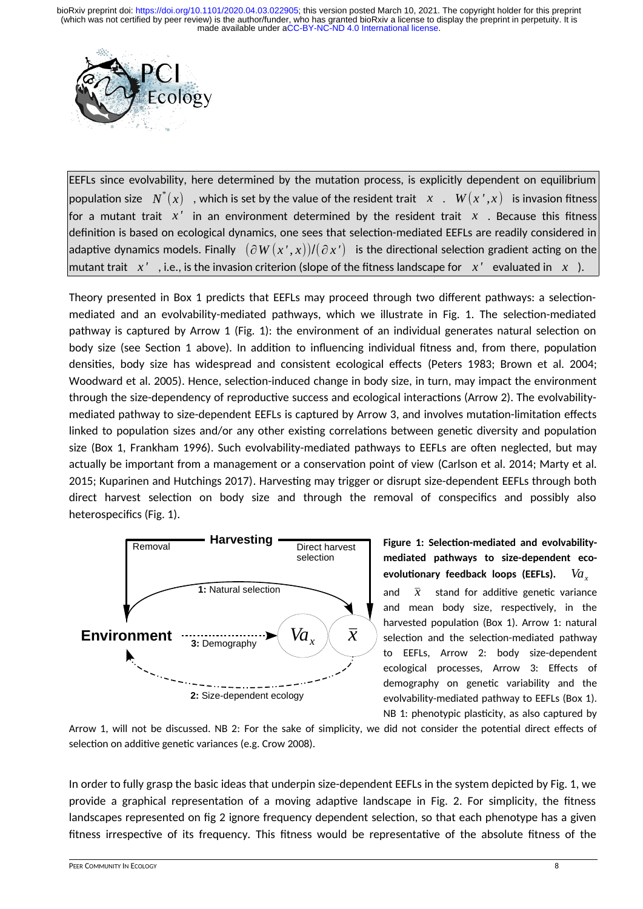

EEFLs since evolvability, here determined by the mutation process, is explicitly dependent on equilibrium population size  $\;N^*(x)\;$  , which is set by the value of the resident trait  $\;$  *x*  $\;$  .  $\;$   $W(x^{\, \prime}, x)\;$  is invasion fitness for a mutant trait  $x'$  in an environment determined by the resident trait  $x$ . Because this fitness definition is based on ecological dynamics, one sees that selection-mediated EEFLs are readily considered in adaptive dynamics models. Finally (∂*W* (*x ' , x*))/(∂ *x '*) is the directional selection gradient acting on the mutant trait *x '* , i.e., is the invasion criterion (slope of the fitness landscape for *x '* evaluated in *x* ).

Theory presented in Box 1 predicts that EEFLs may proceed through two different pathways: a selectionmediated and an evolvability-mediated pathways, which we illustrate in Fig. 1. The selection-mediated pathway is captured by Arrow 1 (Fig. 1): the environment of an individual generates natural selection on body size (see Section 1 above). In addition to influencing individual fitness and, from there, population densities, body size has widespread and consistent ecological effects (Peters 1983; Brown et al. 2004; Woodward et al. 2005). Hence, selection-induced change in body size, in turn, may impact the environment through the size-dependency of reproductive success and ecological interactions (Arrow 2). The evolvabilitymediated pathway to size-dependent EEFLs is captured by Arrow 3, and involves mutation-limitation effects linked to population sizes and/or any other existing correlations between genetic diversity and population size (Box 1, Frankham 1996). Such evolvability-mediated pathways to EEFLs are often neglected, but may actually be important from a management or a conservation point of view (Carlson et al. 2014; Marty et al. 2015; Kuparinen and Hutchings 2017). Harvesting may trigger or disrupt size-dependent EEFLs through both direct harvest selection on body size and through the removal of conspecifics and possibly also heterospecifics (Fig. 1).



**Figure 1: Selection-mediated and evolvabilitymediated pathways to size-dependent ecoevolutionary feedback loops (EEFLs).** *Va<sup>x</sup>*

and  $\bar{x}$  stand for additive genetic variance and mean body size, respectively, in the harvested population (Box 1). Arrow 1: natural selection and the selection-mediated pathway to EEFLs, Arrow 2: body size-dependent ecological processes, Arrow 3: Effects of demography on genetic variability and the evolvability-mediated pathway to EEFLs (Box 1). NB 1: phenotypic plasticity, as also captured by

Arrow 1, will not be discussed. NB 2: For the sake of simplicity, we did not consider the potential direct effects of selection on additive genetic variances (e.g. Crow 2008).

In order to fully grasp the basic ideas that underpin size-dependent EEFLs in the system depicted by Fig. 1, we provide a graphical representation of a moving adaptive landscape in Fig. 2. For simplicity, the fitness landscapes represented on fig 2 ignore frequency dependent selection, so that each phenotype has a given fitness irrespective of its frequency. This fitness would be representative of the absolute fitness of the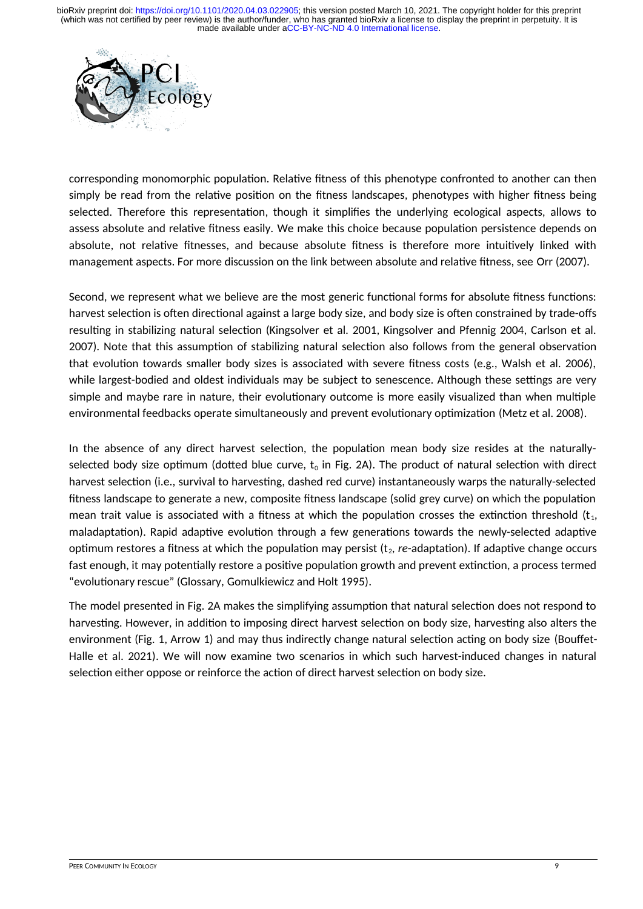

corresponding monomorphic population. Relative fitness of this phenotype confronted to another can then simply be read from the relative position on the fitness landscapes, phenotypes with higher fitness being selected. Therefore this representation, though it simplifies the underlying ecological aspects, allows to assess absolute and relative fitness easily. We make this choice because population persistence depends on absolute, not relative fitnesses, and because absolute fitness is therefore more intuitively linked with management aspects. For more discussion on the link between absolute and relative fitness, see Orr (2007).

Second, we represent what we believe are the most generic functional forms for absolute fitness functions: harvest selection is often directional against a large body size, and body size is often constrained by trade-offs resulting in stabilizing natural selection (Kingsolver et al. 2001, Kingsolver and Pfennig 2004, Carlson et al. 2007). Note that this assumption of stabilizing natural selection also follows from the general observation that evolution towards smaller body sizes is associated with severe fitness costs (e.g., Walsh et al. 2006), while largest-bodied and oldest individuals may be subject to senescence. Although these settings are very simple and maybe rare in nature, their evolutionary outcome is more easily visualized than when multiple environmental feedbacks operate simultaneously and prevent evolutionary optimization (Metz et al. 2008).

In the absence of any direct harvest selection, the population mean body size resides at the naturallyselected body size optimum (dotted blue curve,  $t_0$  in Fig. 2A). The product of natural selection with direct harvest selection (i.e., survival to harvesting, dashed red curve) instantaneously warps the naturally-selected fitness landscape to generate a new, composite fitness landscape (solid grey curve) on which the population mean trait value is associated with a fitness at which the population crosses the extinction threshold  $(t_1, t_2, t_3)$ maladaptation). Rapid adaptive evolution through a few generations towards the newly-selected adaptive optimum restores a fitness at which the population may persist (t<sub>2</sub>, *re*-adaptation). If adaptive change occurs fast enough, it may potentially restore a positive population growth and prevent extinction, a process termed "evolutionary rescue" (Glossary, Gomulkiewicz and Holt 1995).

The model presented in Fig. 2A makes the simplifying assumption that natural selection does not respond to harvesting. However, in addition to imposing direct harvest selection on body size, harvesting also alters the environment (Fig. 1, Arrow 1) and may thus indirectly change natural selection acting on body size (Bouffet-Halle et al. 2021). We will now examine two scenarios in which such harvest-induced changes in natural selection either oppose or reinforce the action of direct harvest selection on body size.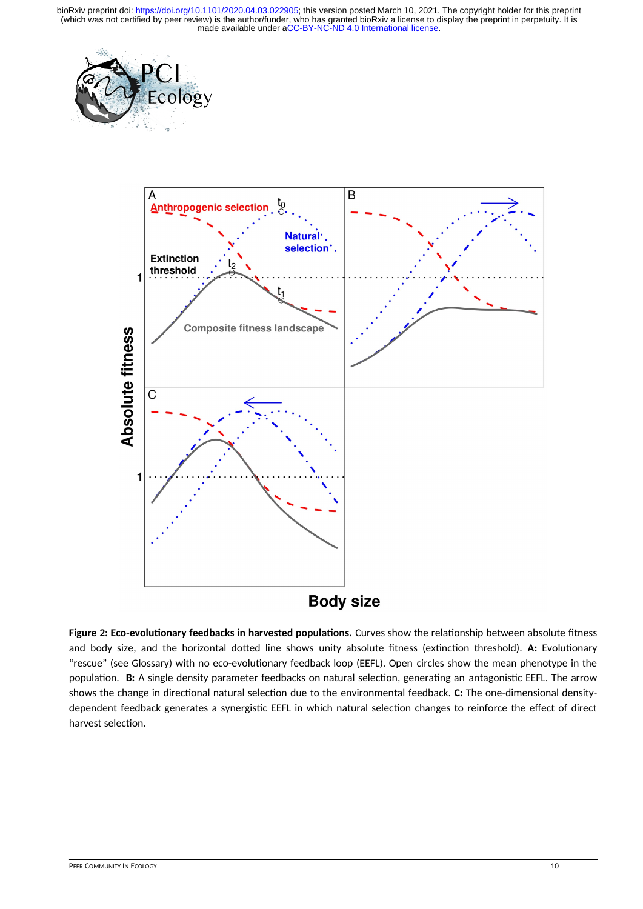



**Figure 2: Eco-evolutionary feedbacks in harvested populations.** Curves show the relationship between absolute fitness and body size, and the horizontal dotted line shows unity absolute fitness (extinction threshold). **A:** Evolutionary "rescue" (see Glossary) with no eco-evolutionary feedback loop (EEFL). Open circles show the mean phenotype in the population. **B:** A single density parameter feedbacks on natural selection, generating an antagonistic EEFL. The arrow shows the change in directional natural selection due to the environmental feedback. **C:** The one-dimensional densitydependent feedback generates a synergistic EEFL in which natural selection changes to reinforce the effect of direct harvest selection.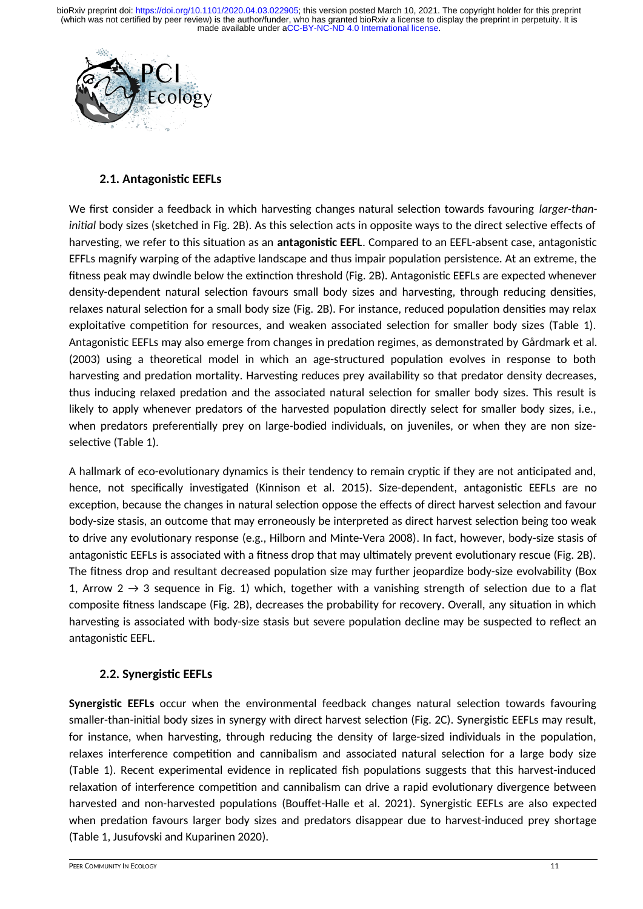

### **2.1. Antagonistic EEFLs**

We first consider a feedback in which harvesting changes natural selection towards favouring *larger-thaninitial* body sizes (sketched in Fig. 2B). As this selection acts in opposite ways to the direct selective effects of harvesting, we refer to this situation as an **antagonistic EEFL**. Compared to an EEFL-absent case, antagonistic EFFLs magnify warping of the adaptive landscape and thus impair population persistence. At an extreme, the fitness peak may dwindle below the extinction threshold (Fig. 2B). Antagonistic EEFLs are expected whenever density-dependent natural selection favours small body sizes and harvesting, through reducing densities, relaxes natural selection for a small body size (Fig. 2B). For instance, reduced population densities may relax exploitative competition for resources, and weaken associated selection for smaller body sizes (Table 1). Antagonistic EEFLs may also emerge from changes in predation regimes, as demonstrated by Gårdmark et al. (2003) using a theoretical model in which an age-structured population evolves in response to both harvesting and predation mortality. Harvesting reduces prey availability so that predator density decreases, thus inducing relaxed predation and the associated natural selection for smaller body sizes. This result is likely to apply whenever predators of the harvested population directly select for smaller body sizes, i.e., when predators preferentially prey on large-bodied individuals, on juveniles, or when they are non sizeselective (Table 1).

A hallmark of eco-evolutionary dynamics is their tendency to remain cryptic if they are not anticipated and, hence, not specifically investigated (Kinnison et al. 2015). Size-dependent, antagonistic EEFLs are no exception, because the changes in natural selection oppose the effects of direct harvest selection and favour body-size stasis, an outcome that may erroneously be interpreted as direct harvest selection being too weak to drive any evolutionary response (e.g., Hilborn and Minte-Vera 2008). In fact, however, body-size stasis of antagonistic EEFLs is associated with a fitness drop that may ultimately prevent evolutionary rescue (Fig. 2B). The fitness drop and resultant decreased population size may further jeopardize body-size evolvability (Box 1, Arrow 2  $\rightarrow$  3 sequence in Fig. 1) which, together with a vanishing strength of selection due to a flat composite fitness landscape (Fig. 2B), decreases the probability for recovery. Overall, any situation in which harvesting is associated with body-size stasis but severe population decline may be suspected to reflect an antagonistic EEFL.

### **2.2. Synergistic EEFLs**

**Synergistic EEFLs** occur when the environmental feedback changes natural selection towards favouring smaller-than-initial body sizes in synergy with direct harvest selection (Fig. 2C). Synergistic EEFLs may result, for instance, when harvesting, through reducing the density of large-sized individuals in the population, relaxes interference competition and cannibalism and associated natural selection for a large body size (Table 1). Recent experimental evidence in replicated fish populations suggests that this harvest-induced relaxation of interference competition and cannibalism can drive a rapid evolutionary divergence between harvested and non-harvested populations (Bouffet-Halle et al. 2021). Synergistic EEFLs are also expected when predation favours larger body sizes and predators disappear due to harvest-induced prey shortage (Table 1, Jusufovski and Kuparinen 2020).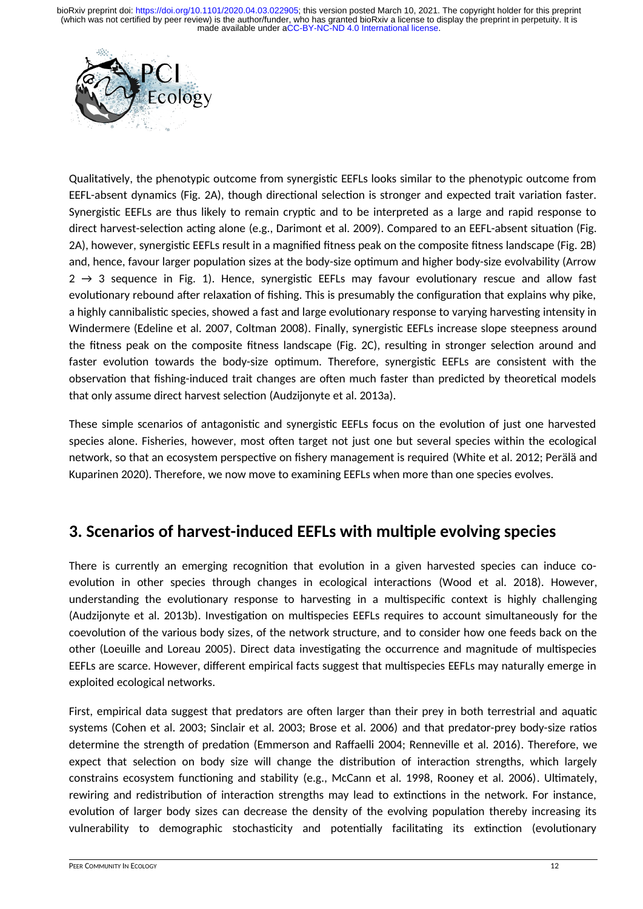

Qualitatively, the phenotypic outcome from synergistic EEFLs looks similar to the phenotypic outcome from EEFL-absent dynamics (Fig. 2A), though directional selection is stronger and expected trait variation faster. Synergistic EEFLs are thus likely to remain cryptic and to be interpreted as a large and rapid response to direct harvest-selection acting alone (e.g., Darimont et al. 2009). Compared to an EEFL-absent situation (Fig. 2A), however, synergistic EEFLs result in a magnified fitness peak on the composite fitness landscape (Fig. 2B) and, hence, favour larger population sizes at the body-size optimum and higher body-size evolvability (Arrow  $2 \rightarrow 3$  sequence in Fig. 1). Hence, synergistic EEFLs may favour evolutionary rescue and allow fast evolutionary rebound after relaxation of fishing. This is presumably the configuration that explains why pike, a highly cannibalistic species, showed a fast and large evolutionary response to varying harvesting intensity in Windermere (Edeline et al. 2007, Coltman 2008). Finally, synergistic EEFLs increase slope steepness around the fitness peak on the composite fitness landscape (Fig. 2C), resulting in stronger selection around and faster evolution towards the body-size optimum. Therefore, synergistic EEFLs are consistent with the observation that fishing-induced trait changes are often much faster than predicted by theoretical models that only assume direct harvest selection (Audzijonyte et al. 2013a).

These simple scenarios of antagonistic and synergistic EEFLs focus on the evolution of just one harvested species alone. Fisheries, however, most often target not just one but several species within the ecological network, so that an ecosystem perspective on fishery management is required (White et al. 2012; Perälä and Kuparinen 2020). Therefore, we now move to examining EEFLs when more than one species evolves.

## **3. Scenarios of harvest-induced EEFLs with multiple evolving species**

There is currently an emerging recognition that evolution in a given harvested species can induce coevolution in other species through changes in ecological interactions (Wood et al. 2018). However, understanding the evolutionary response to harvesting in a multispecific context is highly challenging (Audzijonyte et al. 2013b). Investigation on multispecies EEFLs requires to account simultaneously for the coevolution of the various body sizes, of the network structure, and to consider how one feeds back on the other (Loeuille and Loreau 2005). Direct data investigating the occurrence and magnitude of multispecies EEFLs are scarce. However, different empirical facts suggest that multispecies EEFLs may naturally emerge in exploited ecological networks.

First, empirical data suggest that predators are often larger than their prey in both terrestrial and aquatic systems (Cohen et al. 2003; Sinclair et al. 2003; Brose et al. 2006) and that predator-prey body-size ratios determine the strength of predation (Emmerson and Raffaelli 2004; Renneville et al. 2016). Therefore, we expect that selection on body size will change the distribution of interaction strengths, which largely constrains ecosystem functioning and stability (e.g., McCann et al. 1998, Rooney et al. 2006). Ultimately, rewiring and redistribution of interaction strengths may lead to extinctions in the network. For instance, evolution of larger body sizes can decrease the density of the evolving population thereby increasing its vulnerability to demographic stochasticity and potentially facilitating its extinction (evolutionary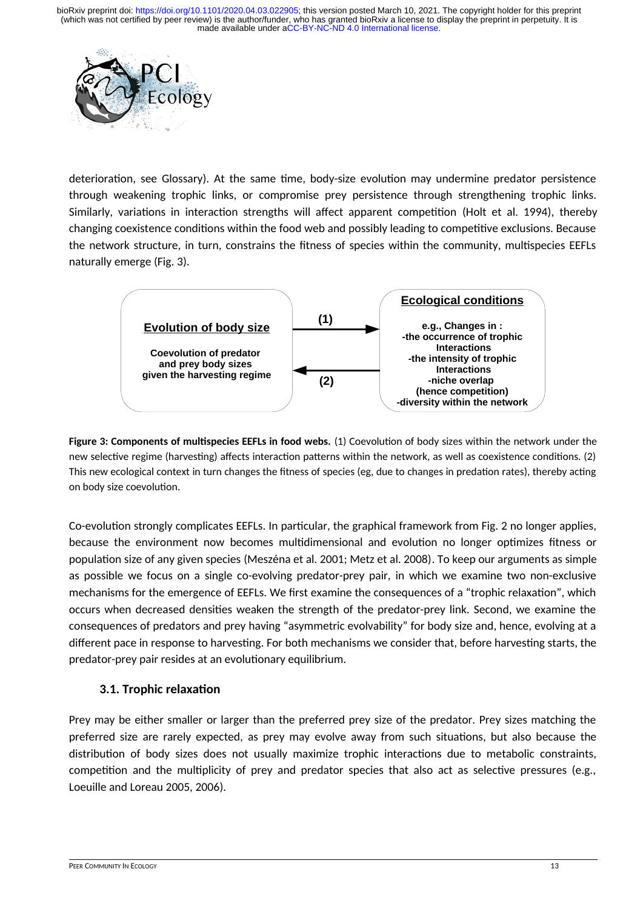

deterioration, see Glossary). At the same time, body-size evolution may undermine predator persistence through weakening trophic links, or compromise prey persistence through strengthening trophic links. Similarly, variations in interaction strengths will affect apparent competition (Holt et al. 1994), thereby changing coexistence conditions within the food web and possibly leading to competitive exclusions. Because the network structure, in turn, constrains the fitness of species within the community, multispecies EEFLs naturally emerge (Fig. 3).



**Figure 3: Components of multispecies EEFLs in food webs.** (1) Coevolution of body sizes within the network under the new selective regime (harvesting) affects interaction patterns within the network, as well as coexistence conditions. (2) This new ecological context in turn changes the fitness of species (eg, due to changes in predation rates), thereby acting on body size coevolution.

Co-evolution strongly complicates EEFLs. In particular, the graphical framework from Fig. 2 no longer applies, because the environment now becomes multidimensional and evolution no longer optimizes fitness or population size of any given species (Meszéna et al. 2001; Metz et al. 2008). To keep our arguments as simple as possible we focus on a single co-evolving predator-prey pair, in which we examine two non-exclusive mechanisms for the emergence of EEFLs. We first examine the consequences of a "trophic relaxation", which occurs when decreased densities weaken the strength of the predator-prey link. Second, we examine the consequences of predators and prey having "asymmetric evolvability" for body size and, hence, evolving at a different pace in response to harvesting. For both mechanisms we consider that, before harvesting starts, the predator-prey pair resides at an evolutionary equilibrium.

### **3.1. Trophic relaxation**

Prey may be either smaller or larger than the preferred prey size of the predator. Prey sizes matching the preferred size are rarely expected, as prey may evolve away from such situations, but also because the distribution of body sizes does not usually maximize trophic interactions due to metabolic constraints, competition and the multiplicity of prey and predator species that also act as selective pressures (e.g., Loeuille and Loreau 2005, 2006).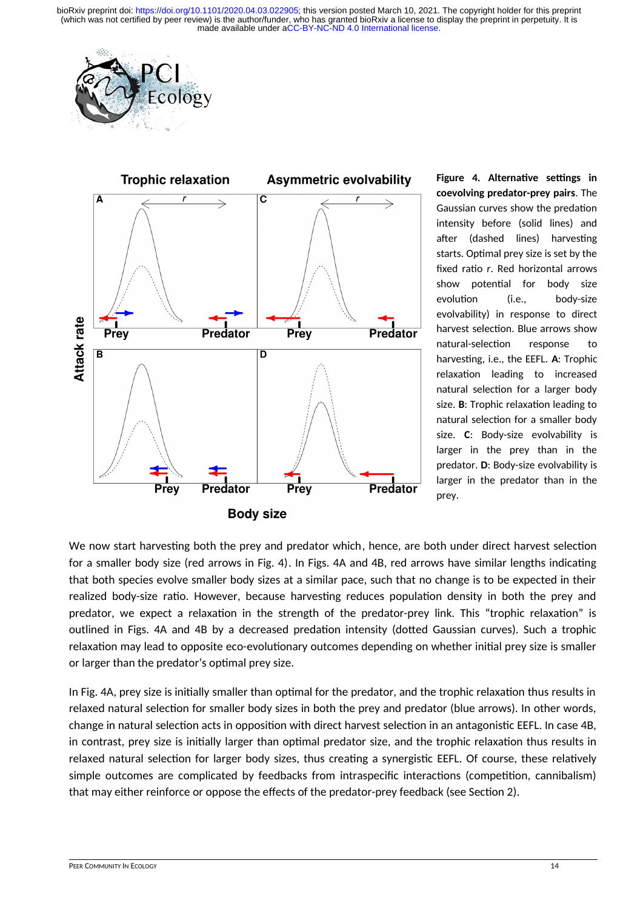



**Figure 4. Alternative settings in coevolving predator-prey pairs**. The Gaussian curves show the predation intensity before (solid lines) and after (dashed lines) harvesting starts. Optimal prey size is set by the fixed ratio *r*. Red horizontal arrows show potential for body size evolution (i.e., body-size evolvability) in response to direct harvest selection. Blue arrows show natural-selection response to harvesting, i.e., the EEFL. **A**: Trophic relaxation leading to increased natural selection for a larger body size. **B**: Trophic relaxation leading to natural selection for a smaller body size. **C**: Body-size evolvability is larger in the prey than in the predator. **D**: Body-size evolvability is larger in the predator than in the prey.

We now start harvesting both the prey and predator which, hence, are both under direct harvest selection for a smaller body size (red arrows in Fig. 4). In Figs. 4A and 4B, red arrows have similar lengths indicating that both species evolve smaller body sizes at a similar pace, such that no change is to be expected in their realized body-size ratio. However, because harvesting reduces population density in both the prey and predator, we expect a relaxation in the strength of the predator-prey link. This "trophic relaxation" is outlined in Figs. 4A and 4B by a decreased predation intensity (dotted Gaussian curves). Such a trophic relaxation may lead to opposite eco-evolutionary outcomes depending on whether initial prey size is smaller or larger than the predator's optimal prey size.

In Fig. 4A, prey size is initially smaller than optimal for the predator, and the trophic relaxation thus results in relaxed natural selection for smaller body sizes in both the prey and predator (blue arrows). In other words, change in natural selection acts in opposition with direct harvest selection in an antagonistic EEFL. In case 4B, in contrast, prey size is initially larger than optimal predator size, and the trophic relaxation thus results in relaxed natural selection for larger body sizes, thus creating a synergistic EEFL. Of course, these relatively simple outcomes are complicated by feedbacks from intraspecific interactions (competition, cannibalism) that may either reinforce or oppose the effects of the predator-prey feedback (see Section 2).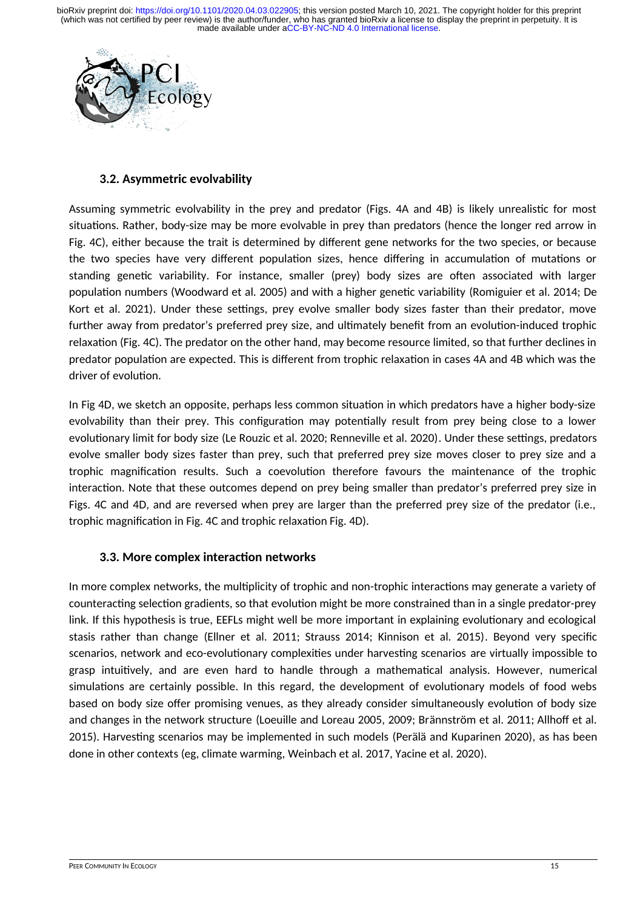

### **3.2. Asymmetric evolvability**

Assuming symmetric evolvability in the prey and predator (Figs. 4A and 4B) is likely unrealistic for most situations. Rather, body-size may be more evolvable in prey than predators (hence the longer red arrow in Fig. 4C), either because the trait is determined by different gene networks for the two species, or because the two species have very different population sizes, hence differing in accumulation of mutations or standing genetic variability. For instance, smaller (prey) body sizes are often associated with larger population numbers (Woodward et al. 2005) and with a higher genetic variability (Romiguier et al. 2014; De Kort et al. 2021). Under these settings, prey evolve smaller body sizes faster than their predator, move further away from predator's preferred prey size, and ultimately benefit from an evolution-induced trophic relaxation (Fig. 4C). The predator on the other hand, may become resource limited, so that further declines in predator population are expected. This is different from trophic relaxation in cases 4A and 4B which was the driver of evolution.

In Fig 4D, we sketch an opposite, perhaps less common situation in which predators have a higher body-size evolvability than their prey. This configuration may potentially result from prey being close to a lower evolutionary limit for body size (Le Rouzic et al. 2020; Renneville et al. 2020). Under these settings, predators evolve smaller body sizes faster than prey, such that preferred prey size moves closer to prey size and a trophic magnification results. Such a coevolution therefore favours the maintenance of the trophic interaction. Note that these outcomes depend on prey being smaller than predator's preferred prey size in Figs. 4C and 4D, and are reversed when prey are larger than the preferred prey size of the predator (i.e., trophic magnification in Fig. 4C and trophic relaxation Fig. 4D).

### **3.3. More complex interaction networks**

In more complex networks, the multiplicity of trophic and non-trophic interactions may generate a variety of counteracting selection gradients, so that evolution might be more constrained than in a single predator-prey link. If this hypothesis is true, EEFLs might well be more important in explaining evolutionary and ecological stasis rather than change (Ellner et al. 2011; Strauss 2014; Kinnison et al. 2015). Beyond very specific scenarios, network and eco-evolutionary complexities under harvesting scenarios are virtually impossible to grasp intuitively, and are even hard to handle through a mathematical analysis. However, numerical simulations are certainly possible. In this regard, the development of evolutionary models of food webs based on body size offer promising venues, as they already consider simultaneously evolution of body size and changes in the network structure (Loeuille and Loreau 2005, 2009; Brännström et al. 2011; Allhoff et al. 2015). Harvesting scenarios may be implemented in such models (Perälä and Kuparinen 2020), as has been done in other contexts (eg, climate warming, Weinbach et al. 2017, Yacine et al. 2020).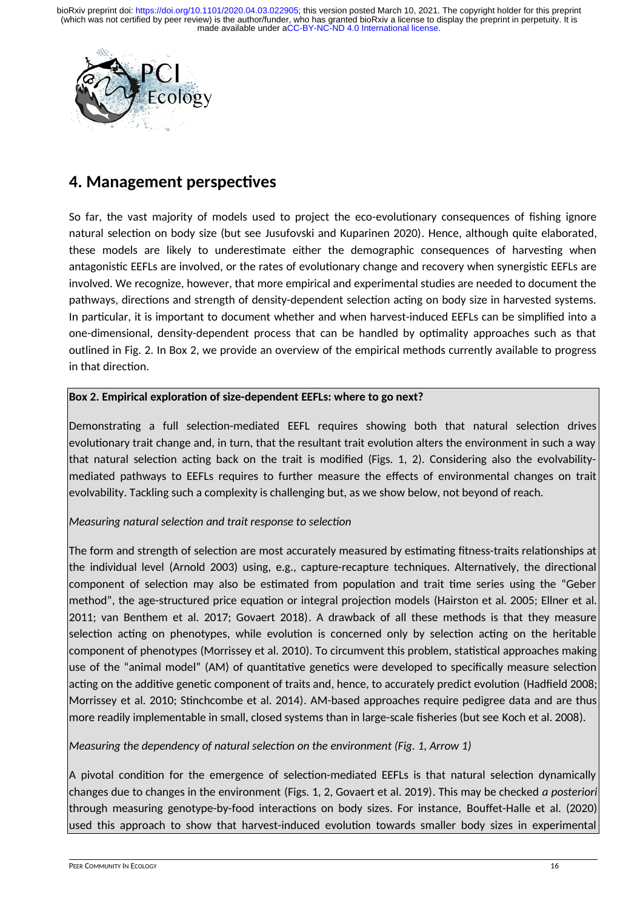

## **4. Management perspectives**

So far, the vast majority of models used to project the eco-evolutionary consequences of fishing ignore natural selection on body size (but see Jusufovski and Kuparinen 2020). Hence, although quite elaborated, these models are likely to underestimate either the demographic consequences of harvesting when antagonistic EEFLs are involved, or the rates of evolutionary change and recovery when synergistic EEFLs are involved. We recognize, however, that more empirical and experimental studies are needed to document the pathways, directions and strength of density-dependent selection acting on body size in harvested systems. In particular, it is important to document whether and when harvest-induced EEFLs can be simplified into a one-dimensional, density-dependent process that can be handled by optimality approaches such as that outlined in Fig. 2. In Box 2, we provide an overview of the empirical methods currently available to progress in that direction.

### **Box 2. Empirical exploration of size-dependent EEFLs: where to go next?**

Demonstrating a full selection-mediated EEFL requires showing both that natural selection drives evolutionary trait change and, in turn, that the resultant trait evolution alters the environment in such a way that natural selection acting back on the trait is modified (Figs. 1, 2). Considering also the evolvabilitymediated pathways to EEFLs requires to further measure the effects of environmental changes on trait evolvability. Tackling such a complexity is challenging but, as we show below, not beyond of reach.

#### *Measuring natural selection and trait response to selection*

The form and strength of selection are most accurately measured by estimating fitness-traits relationships at the individual level (Arnold 2003) using, e.g., capture-recapture techniques. Alternatively, the directional component of selection may also be estimated from population and trait time series using the "Geber method", the age-structured price equation or integral projection models (Hairston et al. 2005; Ellner et al. 2011; van Benthem et al. 2017; Govaert 2018). A drawback of all these methods is that they measure selection acting on phenotypes, while evolution is concerned only by selection acting on the heritable component of phenotypes (Morrissey et al. 2010). To circumvent this problem, statistical approaches making use of the "animal model" (AM) of quantitative genetics were developed to specifically measure selection acting on the additive genetic component of traits and, hence, to accurately predict evolution (Hadfield 2008; Morrissey et al. 2010; Stinchcombe et al. 2014). AM-based approaches require pedigree data and are thus more readily implementable in small, closed systems than in large-scale fisheries (but see Koch et al. 2008).

*Measuring the dependency of natural selection on the environment (Fig. 1, Arrow 1)*

A pivotal condition for the emergence of selection-mediated EEFLs is that natural selection dynamically changes due to changes in the environment (Figs. 1, 2, Govaert et al. 2019). This may be checked *a posteriori* through measuring genotype-by-food interactions on body sizes. For instance, Bouffet-Halle et al. (2020) used this approach to show that harvest-induced evolution towards smaller body sizes in experimental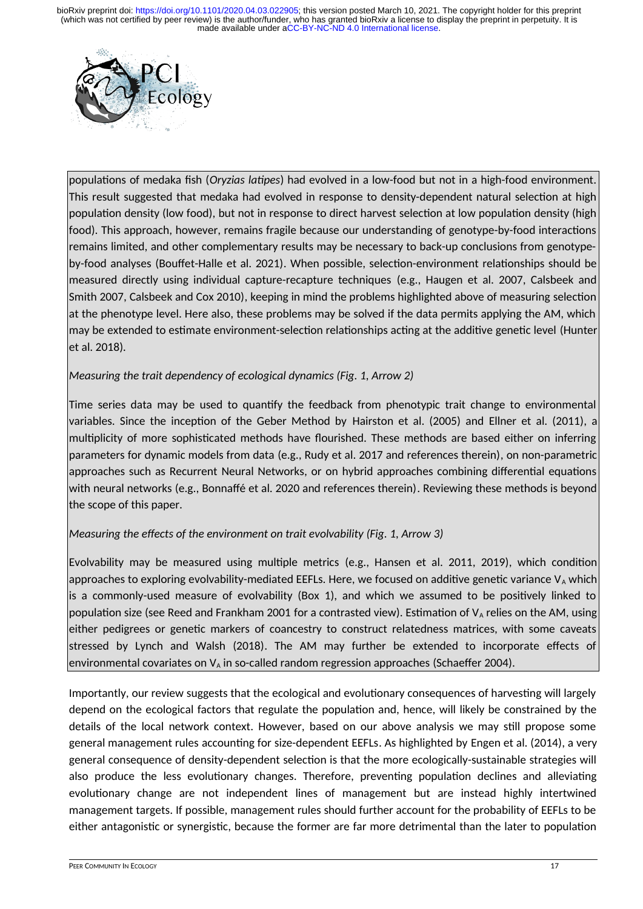

populations of medaka fish (*Oryzias latipes*) had evolved in a low-food but not in a high-food environment. This result suggested that medaka had evolved in response to density-dependent natural selection at high population density (low food), but not in response to direct harvest selection at low population density (high food). This approach, however, remains fragile because our understanding of genotype-by-food interactions remains limited, and other complementary results may be necessary to back-up conclusions from genotypeby-food analyses (Bouffet-Halle et al. 2021). When possible, selection-environment relationships should be measured directly using individual capture-recapture techniques (e.g., Haugen et al. 2007, Calsbeek and Smith 2007, Calsbeek and Cox 2010), keeping in mind the problems highlighted above of measuring selection at the phenotype level. Here also, these problems may be solved if the data permits applying the AM, which may be extended to estimate environment-selection relationships acting at the additive genetic level (Hunter et al. 2018)*.*

### *Measuring the trait dependency of ecological dynamics (Fig. 1, Arrow 2)*

Time series data may be used to quantify the feedback from phenotypic trait change to environmental variables. Since the inception of the Geber Method by Hairston et al. (2005) and Ellner et al. (2011), a multiplicity of more sophisticated methods have flourished. These methods are based either on inferring parameters for dynamic models from data (e.g., Rudy et al. 2017 and references therein), on non-parametric approaches such as Recurrent Neural Networks, or on hybrid approaches combining differential equations with neural networks (e.g., Bonnaffé et al. 2020 and references therein). Reviewing these methods is beyond the scope of this paper.

### *Measuring the effects of the environment on trait evolvability (Fig. 1, Arrow 3)*

Evolvability may be measured using multiple metrics (e.g., Hansen et al. 2011, 2019), which condition approaches to exploring evolvability-mediated EEFLs. Here, we focused on additive genetic variance  $V_A$  which is a commonly-used measure of evolvability (Box 1), and which we assumed to be positively linked to population size (see Reed and Frankham 2001 for a contrasted view). Estimation of  $V_A$  relies on the AM, using either pedigrees or genetic markers of coancestry to construct relatedness matrices, with some caveats stressed by Lynch and Walsh (2018). The AM may further be extended to incorporate effects of environmental covariates on  $V_A$  in so-called random regression approaches (Schaeffer 2004).

Importantly, our review suggests that the ecological and evolutionary consequences of harvesting will largely depend on the ecological factors that regulate the population and, hence, will likely be constrained by the details of the local network context. However, based on our above analysis we may still propose some general management rules accounting for size-dependent EEFLs. As highlighted by Engen et al. (2014), a very general consequence of density-dependent selection is that the more ecologically-sustainable strategies will also produce the less evolutionary changes. Therefore, preventing population declines and alleviating evolutionary change are not independent lines of management but are instead highly intertwined management targets. If possible, management rules should further account for the probability of EEFLs to be either antagonistic or synergistic, because the former are far more detrimental than the later to population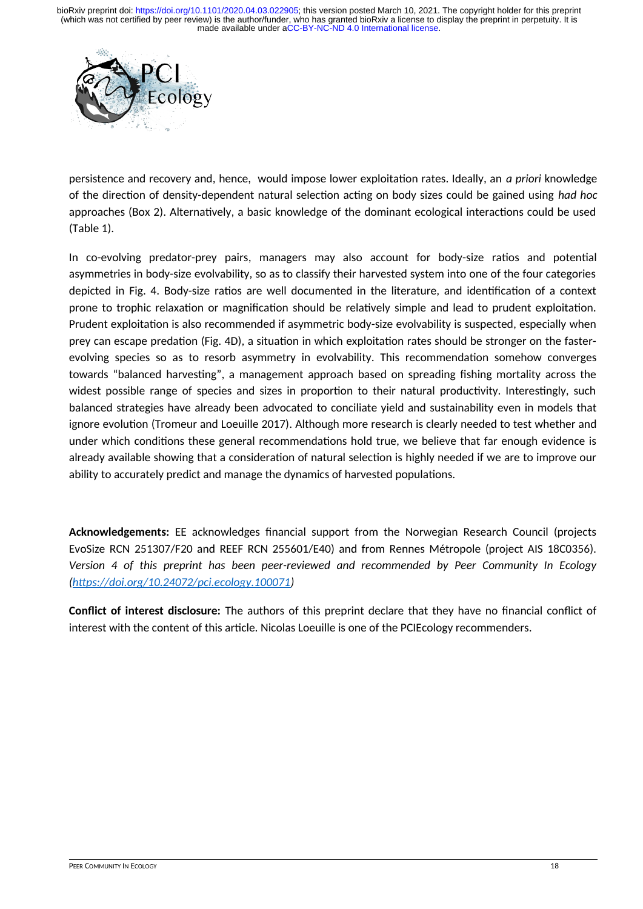

persistence and recovery and, hence, would impose lower exploitation rates. Ideally, an *a priori* knowledge of the direction of density-dependent natural selection acting on body sizes could be gained using *had hoc* approaches (Box 2). Alternatively, a basic knowledge of the dominant ecological interactions could be used (Table 1).

In co-evolving predator-prey pairs, managers may also account for body-size ratios and potential asymmetries in body-size evolvability, so as to classify their harvested system into one of the four categories depicted in Fig. 4. Body-size ratios are well documented in the literature, and identification of a context prone to trophic relaxation or magnification should be relatively simple and lead to prudent exploitation. Prudent exploitation is also recommended if asymmetric body-size evolvability is suspected, especially when prey can escape predation (Fig. 4D), a situation in which exploitation rates should be stronger on the fasterevolving species so as to resorb asymmetry in evolvability. This recommendation somehow converges towards "balanced harvesting", a management approach based on spreading fishing mortality across the widest possible range of species and sizes in proportion to their natural productivity. Interestingly, such balanced strategies have already been advocated to conciliate yield and sustainability even in models that ignore evolution (Tromeur and Loeuille 2017). Although more research is clearly needed to test whether and under which conditions these general recommendations hold true, we believe that far enough evidence is already available showing that a consideration of natural selection is highly needed if we are to improve our ability to accurately predict and manage the dynamics of harvested populations.

**Acknowledgements:** EE acknowledges financial support from the Norwegian Research Council (projects EvoSize RCN 251307/F20 and REEF RCN 255601/E40) and from Rennes Métropole (project AIS 18C0356). *Version 4 of this preprint has been peer-reviewed and recommended by Peer Community In Ecology [\(https://doi.org/10.24072/pci.ecology.100071](https://doi.org/10.24072/pci.ecology.100071))*

**Conflict of interest disclosure:** The authors of this preprint declare that they have no financial conflict of interest with the content of this article. Nicolas Loeuille is one of the PCIEcology recommenders.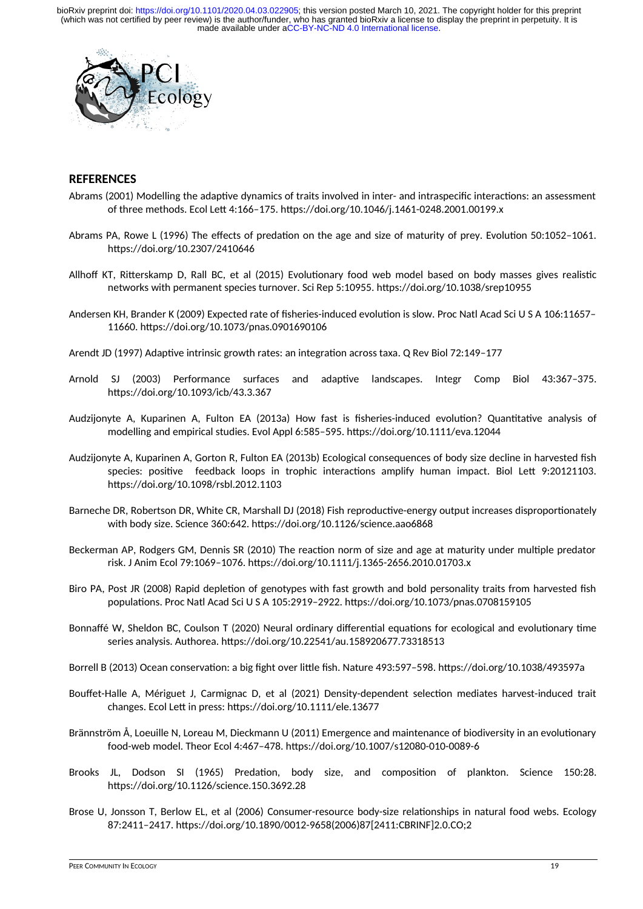

#### **REFERENCES**

- Abrams (2001) Modelling the adaptive dynamics of traits involved in inter- and intraspecific interactions: an assessment of three methods. Ecol Lett 4:166–175. https://doi.org/10.1046/j.1461-0248.2001.00199.x
- Abrams PA, Rowe L (1996) The effects of predation on the age and size of maturity of prey. Evolution 50:1052–1061. https://doi.org/10.2307/2410646
- Allhoff KT, Ritterskamp D, Rall BC, et al (2015) Evolutionary food web model based on body masses gives realistic networks with permanent species turnover. Sci Rep 5:10955. https://doi.org/10.1038/srep10955
- Andersen KH, Brander K (2009) Expected rate of fisheries-induced evolution is slow. Proc Natl Acad Sci U S A 106:11657– 11660. https://doi.org/10.1073/pnas.0901690106
- Arendt JD (1997) Adaptive intrinsic growth rates: an integration across taxa. Q Rev Biol 72:149–177
- Arnold SJ (2003) Performance surfaces and adaptive landscapes. Integr Comp Biol 43:367–375. https://doi.org/10.1093/icb/43.3.367
- Audzijonyte A, Kuparinen A, Fulton EA (2013a) How fast is fisheries-induced evolution? Quantitative analysis of modelling and empirical studies. Evol Appl 6:585–595. https://doi.org/10.1111/eva.12044
- Audzijonyte A, Kuparinen A, Gorton R, Fulton EA (2013b) Ecological consequences of body size decline in harvested fish species: positive feedback loops in trophic interactions amplify human impact. Biol Lett 9:20121103. https://doi.org/10.1098/rsbl.2012.1103
- Barneche DR, Robertson DR, White CR, Marshall DJ (2018) Fish reproductive-energy output increases disproportionately with body size. Science 360:642. https://doi.org/10.1126/science.aao6868
- Beckerman AP, Rodgers GM, Dennis SR (2010) The reaction norm of size and age at maturity under multiple predator risk. J Anim Ecol 79:1069–1076. https://doi.org/10.1111/j.1365-2656.2010.01703.x
- Biro PA, Post JR (2008) Rapid depletion of genotypes with fast growth and bold personality traits from harvested fish populations. Proc Natl Acad Sci U S A 105:2919–2922. https://doi.org/10.1073/pnas.0708159105
- Bonnaffé W, Sheldon BC, Coulson T (2020) Neural ordinary differential equations for ecological and evolutionary time series analysis. Authorea. https://doi.org/10.22541/au.158920677.73318513
- Borrell B (2013) Ocean conservation: a big fight over little fish. Nature 493:597–598. https://doi.org/10.1038/493597a
- Bouffet-Halle A, Mériguet J, Carmignac D, et al (2021) Density-dependent selection mediates harvest-induced trait changes. Ecol Lett in press: https://doi.org/10.1111/ele.13677
- Brännström Å, Loeuille N, Loreau M, Dieckmann U (2011) Emergence and maintenance of biodiversity in an evolutionary food-web model. Theor Ecol 4:467–478. https://doi.org/10.1007/s12080-010-0089-6
- Brooks JL, Dodson SI (1965) Predation, body size, and composition of plankton. Science 150:28. https://doi.org/10.1126/science.150.3692.28
- Brose U, Jonsson T, Berlow EL, et al (2006) Consumer-resource body-size relationships in natural food webs. Ecology 87:2411–2417. https://doi.org/10.1890/0012-9658(2006)87[2411:CBRINF]2.0.CO;2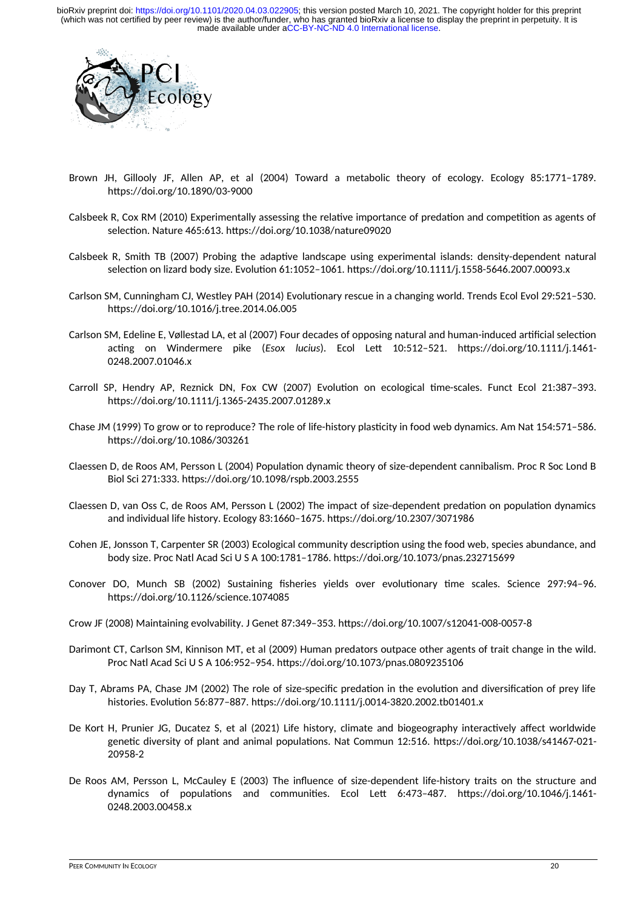

- Brown JH, Gillooly JF, Allen AP, et al (2004) Toward a metabolic theory of ecology. Ecology 85:1771–1789. https://doi.org/10.1890/03-9000
- Calsbeek R, Cox RM (2010) Experimentally assessing the relative importance of predation and competition as agents of selection. Nature 465:613. https://doi.org/10.1038/nature09020
- Calsbeek R, Smith TB (2007) Probing the adaptive landscape using experimental islands: density-dependent natural selection on lizard body size. Evolution 61:1052–1061. https://doi.org/10.1111/j.1558-5646.2007.00093.x
- Carlson SM, Cunningham CJ, Westley PAH (2014) Evolutionary rescue in a changing world. Trends Ecol Evol 29:521–530. https://doi.org/10.1016/j.tree.2014.06.005
- Carlson SM, Edeline E, Vøllestad LA, et al (2007) Four decades of opposing natural and human-induced artificial selection acting on Windermere pike (*Esox lucius*). Ecol Lett 10:512–521. https://doi.org/10.1111/j.1461- 0248.2007.01046.x
- Carroll SP, Hendry AP, Reznick DN, Fox CW (2007) Evolution on ecological time-scales. Funct Ecol 21:387–393. https://doi.org/10.1111/j.1365-2435.2007.01289.x
- Chase JM (1999) To grow or to reproduce? The role of life-history plasticity in food web dynamics. Am Nat 154:571–586. https://doi.org/10.1086/303261
- Claessen D, de Roos AM, Persson L (2004) Population dynamic theory of size-dependent cannibalism. Proc R Soc Lond B Biol Sci 271:333. https://doi.org/10.1098/rspb.2003.2555
- Claessen D, van Oss C, de Roos AM, Persson L (2002) The impact of size-dependent predation on population dynamics and individual life history. Ecology 83:1660–1675. https://doi.org/10.2307/3071986
- Cohen JE, Jonsson T, Carpenter SR (2003) Ecological community description using the food web, species abundance, and body size. Proc Natl Acad Sci U S A 100:1781–1786. https://doi.org/10.1073/pnas.232715699
- Conover DO, Munch SB (2002) Sustaining fisheries yields over evolutionary time scales. Science 297:94–96. https://doi.org/10.1126/science.1074085
- Crow JF (2008) Maintaining evolvability. J Genet 87:349–353. https://doi.org/10.1007/s12041-008-0057-8
- Darimont CT, Carlson SM, Kinnison MT, et al (2009) Human predators outpace other agents of trait change in the wild. Proc Natl Acad Sci U S A 106:952–954. https://doi.org/10.1073/pnas.0809235106
- Day T, Abrams PA, Chase JM (2002) The role of size-specific predation in the evolution and diversification of prey life histories. Evolution 56:877–887. https://doi.org/10.1111/j.0014-3820.2002.tb01401.x
- De Kort H, Prunier JG, Ducatez S, et al (2021) Life history, climate and biogeography interactively affect worldwide genetic diversity of plant and animal populations. Nat Commun 12:516. https://doi.org/10.1038/s41467-021- 20958-2
- De Roos AM, Persson L, McCauley E (2003) The influence of size-dependent life-history traits on the structure and dynamics of populations and communities. Ecol Lett 6:473–487. https://doi.org/10.1046/j.1461- 0248.2003.00458.x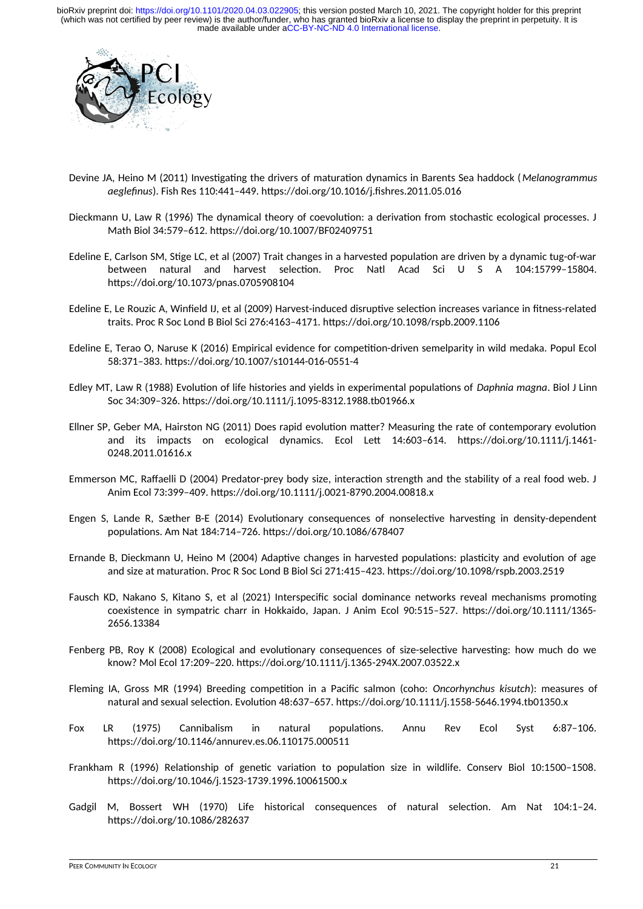

- Devine JA, Heino M (2011) Investigating the drivers of maturation dynamics in Barents Sea haddock (*Melanogrammus aeglefinus*). Fish Res 110:441–449. https://doi.org/10.1016/j.fishres.2011.05.016
- Dieckmann U, Law R (1996) The dynamical theory of coevolution: a derivation from stochastic ecological processes. J Math Biol 34:579–612. https://doi.org/10.1007/BF02409751
- Edeline E, Carlson SM, Stige LC, et al (2007) Trait changes in a harvested population are driven by a dynamic tug-of-war between natural and harvest selection. Proc Natl Acad Sci U S A 104:15799–15804. https://doi.org/10.1073/pnas.0705908104
- Edeline E, Le Rouzic A, Winfield IJ, et al (2009) Harvest-induced disruptive selection increases variance in fitness-related traits. Proc R Soc Lond B Biol Sci 276:4163–4171. https://doi.org/10.1098/rspb.2009.1106
- Edeline E, Terao O, Naruse K (2016) Empirical evidence for competition-driven semelparity in wild medaka. Popul Ecol 58:371–383. https://doi.org/10.1007/s10144-016-0551-4
- Edley MT, Law R (1988) Evolution of life histories and yields in experimental populations of *Daphnia magna*. Biol J Linn Soc 34:309–326. https://doi.org/10.1111/j.1095-8312.1988.tb01966.x
- Ellner SP, Geber MA, Hairston NG (2011) Does rapid evolution matter? Measuring the rate of contemporary evolution and its impacts on ecological dynamics. Ecol Lett 14:603–614. https://doi.org/10.1111/j.1461- 0248.2011.01616.x
- Emmerson MC, Raffaelli D (2004) Predator-prey body size, interaction strength and the stability of a real food web. J Anim Ecol 73:399–409. https://doi.org/10.1111/j.0021-8790.2004.00818.x
- Engen S, Lande R, Sæther B-E (2014) Evolutionary consequences of nonselective harvesting in density-dependent populations. Am Nat 184:714–726. https://doi.org/10.1086/678407
- Ernande B, Dieckmann U, Heino M (2004) Adaptive changes in harvested populations: plasticity and evolution of age and size at maturation. Proc R Soc Lond B Biol Sci 271:415–423. https://doi.org/10.1098/rspb.2003.2519
- Fausch KD, Nakano S, Kitano S, et al (2021) Interspecific social dominance networks reveal mechanisms promoting coexistence in sympatric charr in Hokkaido, Japan. J Anim Ecol 90:515–527. https://doi.org/10.1111/1365- 2656.13384
- Fenberg PB, Roy K (2008) Ecological and evolutionary consequences of size-selective harvesting: how much do we know? Mol Ecol 17:209–220. https://doi.org/10.1111/j.1365-294X.2007.03522.x
- Fleming IA, Gross MR (1994) Breeding competition in a Pacific salmon (coho: *Oncorhynchus kisutch*): measures of natural and sexual selection. Evolution 48:637–657. https://doi.org/10.1111/j.1558-5646.1994.tb01350.x
- Fox LR (1975) Cannibalism in natural populations. Annu Rev Ecol Syst 6:87–106. https://doi.org/10.1146/annurev.es.06.110175.000511
- Frankham R (1996) Relationship of genetic variation to population size in wildlife. Conserv Biol 10:1500–1508. https://doi.org/10.1046/j.1523-1739.1996.10061500.x
- Gadgil M, Bossert WH (1970) Life historical consequences of natural selection. Am Nat 104:1–24. https://doi.org/10.1086/282637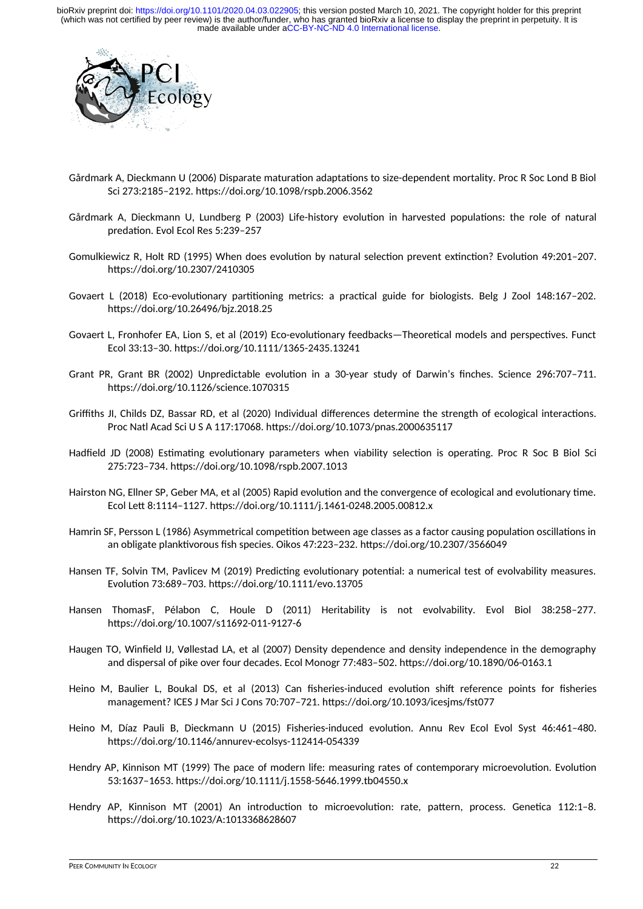

- Gårdmark A, Dieckmann U (2006) Disparate maturation adaptations to size-dependent mortality. Proc R Soc Lond B Biol Sci 273:2185–2192. https://doi.org/10.1098/rspb.2006.3562
- Gårdmark A, Dieckmann U, Lundberg P (2003) Life-history evolution in harvested populations: the role of natural predation. Evol Ecol Res 5:239–257
- Gomulkiewicz R, Holt RD (1995) When does evolution by natural selection prevent extinction? Evolution 49:201–207. https://doi.org/10.2307/2410305
- Govaert L (2018) Eco-evolutionary partitioning metrics: a practical guide for biologists. Belg J Zool 148:167–202. https://doi.org/10.26496/bjz.2018.25
- Govaert L, Fronhofer EA, Lion S, et al (2019) Eco-evolutionary feedbacks—Theoretical models and perspectives. Funct Ecol 33:13–30. https://doi.org/10.1111/1365-2435.13241
- Grant PR, Grant BR (2002) Unpredictable evolution in a 30-year study of Darwin's finches. Science 296:707–711. https://doi.org/10.1126/science.1070315
- Griffiths JI, Childs DZ, Bassar RD, et al (2020) Individual differences determine the strength of ecological interactions. Proc Natl Acad Sci U S A 117:17068. https://doi.org/10.1073/pnas.2000635117
- Hadfield JD (2008) Estimating evolutionary parameters when viability selection is operating. Proc R Soc B Biol Sci 275:723–734. https://doi.org/10.1098/rspb.2007.1013
- Hairston NG, Ellner SP, Geber MA, et al (2005) Rapid evolution and the convergence of ecological and evolutionary time. Ecol Lett 8:1114–1127. https://doi.org/10.1111/j.1461-0248.2005.00812.x
- Hamrin SF, Persson L (1986) Asymmetrical competition between age classes as a factor causing population oscillations in an obligate planktivorous fish species. Oikos 47:223–232. https://doi.org/10.2307/3566049
- Hansen TF, Solvin TM, Pavlicev M (2019) Predicting evolutionary potential: a numerical test of evolvability measures. Evolution 73:689–703. https://doi.org/10.1111/evo.13705
- Hansen ThomasF, Pélabon C, Houle D (2011) Heritability is not evolvability. Evol Biol 38:258–277. https://doi.org/10.1007/s11692-011-9127-6
- Haugen TO, Winfield IJ, Vøllestad LA, et al (2007) Density dependence and density independence in the demography and dispersal of pike over four decades. Ecol Monogr 77:483–502. https://doi.org/10.1890/06-0163.1
- Heino M, Baulier L, Boukal DS, et al (2013) Can fisheries-induced evolution shift reference points for fisheries management? ICES J Mar Sci J Cons 70:707–721. https://doi.org/10.1093/icesjms/fst077
- Heino M, Díaz Pauli B, Dieckmann U (2015) Fisheries-induced evolution. Annu Rev Ecol Evol Syst 46:461–480. https://doi.org/10.1146/annurev-ecolsys-112414-054339
- Hendry AP, Kinnison MT (1999) The pace of modern life: measuring rates of contemporary microevolution. Evolution 53:1637–1653. https://doi.org/10.1111/j.1558-5646.1999.tb04550.x
- Hendry AP, Kinnison MT (2001) An introduction to microevolution: rate, pattern, process. Genetica 112:1–8. https://doi.org/10.1023/A:1013368628607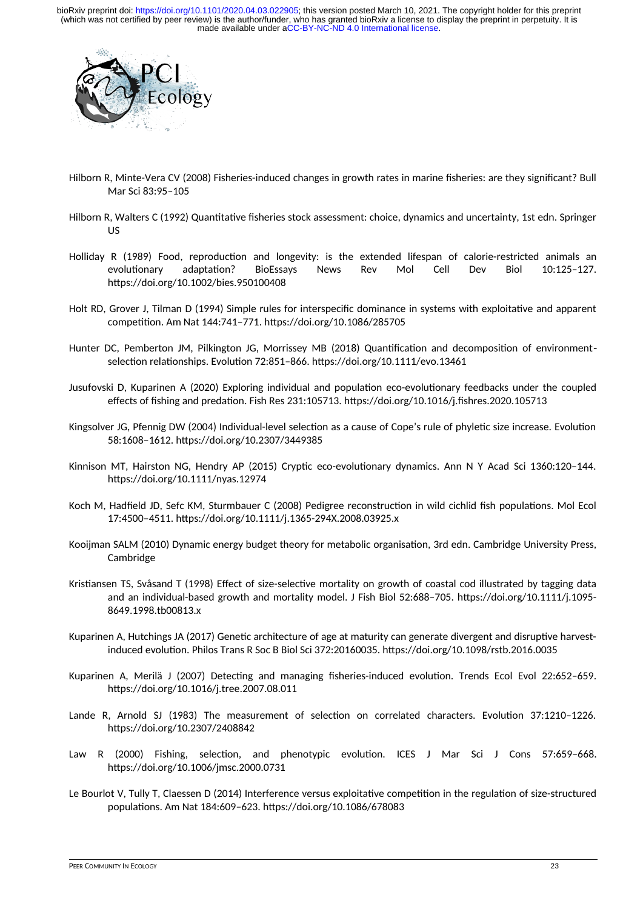

- Hilborn R, Minte-Vera CV (2008) Fisheries-induced changes in growth rates in marine fisheries: are they significant? Bull Mar Sci 83:95–105
- Hilborn R, Walters C (1992) Quantitative fisheries stock assessment: choice, dynamics and uncertainty, 1st edn. Springer US
- Holliday R (1989) Food, reproduction and longevity: is the extended lifespan of calorie-restricted animals an evolutionary adaptation? BioEssays News Rev Mol Cell Dev Biol 10:125–127. https://doi.org/10.1002/bies.950100408
- Holt RD, Grover J, Tilman D (1994) Simple rules for interspecific dominance in systems with exploitative and apparent competition. Am Nat 144:741–771. https://doi.org/10.1086/285705
- Hunter DC, Pemberton JM, Pilkington JG, Morrissey MB (2018) Quantification and decomposition of environmentselection relationships. Evolution 72:851–866. https://doi.org/10.1111/evo.13461
- Jusufovski D, Kuparinen A (2020) Exploring individual and population eco-evolutionary feedbacks under the coupled effects of fishing and predation. Fish Res 231:105713. https://doi.org/10.1016/j.fishres.2020.105713
- Kingsolver JG, Pfennig DW (2004) Individual-level selection as a cause of Cope's rule of phyletic size increase. Evolution 58:1608–1612. https://doi.org/10.2307/3449385
- Kinnison MT, Hairston NG, Hendry AP (2015) Cryptic eco-evolutionary dynamics. Ann N Y Acad Sci 1360:120–144. https://doi.org/10.1111/nyas.12974
- Koch M, Hadfield JD, Sefc KM, Sturmbauer C (2008) Pedigree reconstruction in wild cichlid fish populations. Mol Ecol 17:4500–4511. https://doi.org/10.1111/j.1365-294X.2008.03925.x
- Kooijman SALM (2010) Dynamic energy budget theory for metabolic organisation, 3rd edn. Cambridge University Press, Cambridge
- Kristiansen TS, Svåsand T (1998) Effect of size-selective mortality on growth of coastal cod illustrated by tagging data and an individual-based growth and mortality model. J Fish Biol 52:688–705. https://doi.org/10.1111/j.1095- 8649.1998.tb00813.x
- Kuparinen A, Hutchings JA (2017) Genetic architecture of age at maturity can generate divergent and disruptive harvestinduced evolution. Philos Trans R Soc B Biol Sci 372:20160035. https://doi.org/10.1098/rstb.2016.0035
- Kuparinen A, Merilä J (2007) Detecting and managing fisheries-induced evolution. Trends Ecol Evol 22:652–659. https://doi.org/10.1016/j.tree.2007.08.011
- Lande R, Arnold SJ (1983) The measurement of selection on correlated characters. Evolution 37:1210–1226. https://doi.org/10.2307/2408842
- Law R (2000) Fishing, selection, and phenotypic evolution. ICES J Mar Sci J Cons 57:659-668. https://doi.org/10.1006/jmsc.2000.0731
- Le Bourlot V, Tully T, Claessen D (2014) Interference versus exploitative competition in the regulation of size-structured populations. Am Nat 184:609–623. https://doi.org/10.1086/678083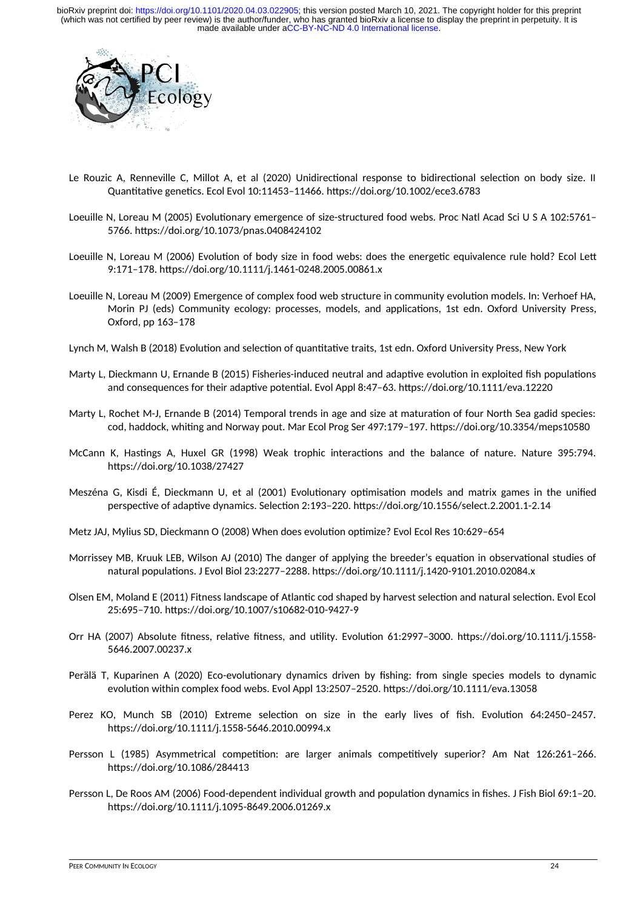

- Le Rouzic A, Renneville C, Millot A, et al (2020) Unidirectional response to bidirectional selection on body size. II Quantitative genetics. Ecol Evol 10:11453–11466. https://doi.org/10.1002/ece3.6783
- Loeuille N, Loreau M (2005) Evolutionary emergence of size-structured food webs. Proc Natl Acad Sci U S A 102:5761– 5766. https://doi.org/10.1073/pnas.0408424102
- Loeuille N, Loreau M (2006) Evolution of body size in food webs: does the energetic equivalence rule hold? Ecol Lett 9:171–178. https://doi.org/10.1111/j.1461-0248.2005.00861.x
- Loeuille N, Loreau M (2009) Emergence of complex food web structure in community evolution models. In: Verhoef HA, Morin PJ (eds) Community ecology: processes, models, and applications, 1st edn. Oxford University Press, Oxford, pp 163–178
- Lynch M, Walsh B (2018) Evolution and selection of quantitative traits, 1st edn. Oxford University Press, New York
- Marty L, Dieckmann U, Ernande B (2015) Fisheries-induced neutral and adaptive evolution in exploited fish populations and consequences for their adaptive potential. Evol Appl 8:47–63. https://doi.org/10.1111/eva.12220
- Marty L, Rochet M-J, Ernande B (2014) Temporal trends in age and size at maturation of four North Sea gadid species: cod, haddock, whiting and Norway pout. Mar Ecol Prog Ser 497:179–197. https://doi.org/10.3354/meps10580
- McCann K, Hastings A, Huxel GR (1998) Weak trophic interactions and the balance of nature. Nature 395:794. https://doi.org/10.1038/27427
- Meszéna G, Kisdi É, Dieckmann U, et al (2001) Evolutionary optimisation models and matrix games in the unified perspective of adaptive dynamics. Selection 2:193–220. https://doi.org/10.1556/select.2.2001.1-2.14
- Metz JAJ, Mylius SD, Dieckmann O (2008) When does evolution optimize? Evol Ecol Res 10:629–654
- Morrissey MB, Kruuk LEB, Wilson AJ (2010) The danger of applying the breeder's equation in observational studies of natural populations. J Evol Biol 23:2277–2288. https://doi.org/10.1111/j.1420-9101.2010.02084.x
- Olsen EM, Moland E (2011) Fitness landscape of Atlantic cod shaped by harvest selection and natural selection. Evol Ecol 25:695–710. https://doi.org/10.1007/s10682-010-9427-9
- Orr HA (2007) Absolute fitness, relative fitness, and utility. Evolution 61:2997–3000. https://doi.org/10.1111/j.1558- 5646.2007.00237.x
- Perälä T, Kuparinen A (2020) Eco-evolutionary dynamics driven by fishing: from single species models to dynamic evolution within complex food webs. Evol Appl 13:2507–2520. https://doi.org/10.1111/eva.13058
- Perez KO, Munch SB (2010) Extreme selection on size in the early lives of fish. Evolution 64:2450–2457. https://doi.org/10.1111/j.1558-5646.2010.00994.x
- Persson L (1985) Asymmetrical competition: are larger animals competitively superior? Am Nat 126:261–266. https://doi.org/10.1086/284413
- Persson L, De Roos AM (2006) Food-dependent individual growth and population dynamics in fishes. J Fish Biol 69:1–20. https://doi.org/10.1111/j.1095-8649.2006.01269.x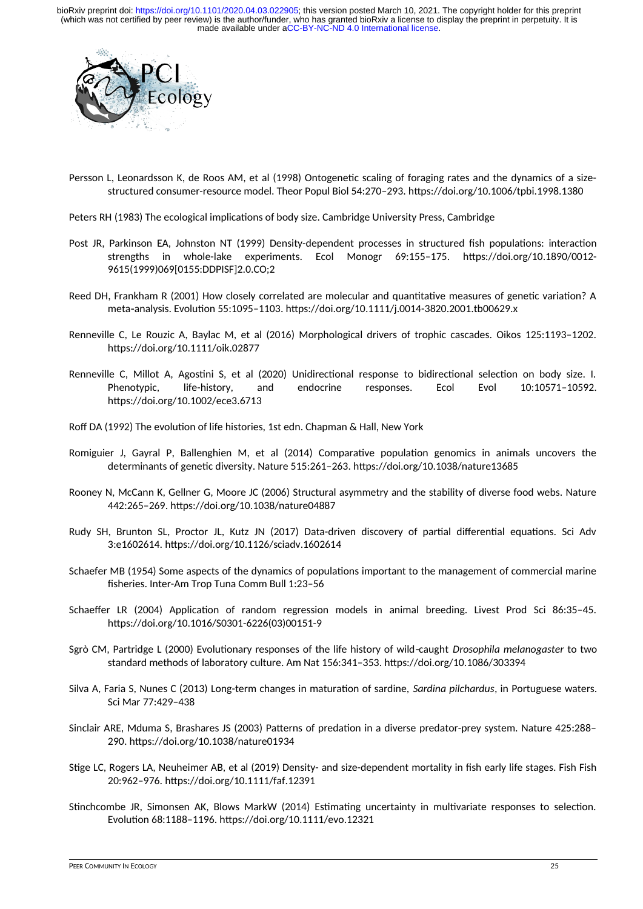

Persson L, Leonardsson K, de Roos AM, et al (1998) Ontogenetic scaling of foraging rates and the dynamics of a sizestructured consumer-resource model. Theor Popul Biol 54:270–293. https://doi.org/10.1006/tpbi.1998.1380

Peters RH (1983) The ecological implications of body size. Cambridge University Press, Cambridge

- Post JR, Parkinson EA, Johnston NT (1999) Density-dependent processes in structured fish populations: interaction strengths in whole-lake experiments. Ecol Monogr 69:155–175. https://doi.org/10.1890/0012- 9615(1999)069[0155:DDPISF]2.0.CO;2
- Reed DH, Frankham R (2001) How closely correlated are molecular and quantitative measures of genetic variation? A meta analysis. Evolution 55:1095–1103. https://doi.org/10.1111/j.0014-3820.2001.tb00629.x ‐
- Renneville C, Le Rouzic A, Baylac M, et al (2016) Morphological drivers of trophic cascades. Oikos 125:1193–1202. https://doi.org/10.1111/oik.02877
- Renneville C, Millot A, Agostini S, et al (2020) Unidirectional response to bidirectional selection on body size. I. Phenotypic, life-history, and endocrine responses. Ecol Evol 10:10571–10592. https://doi.org/10.1002/ece3.6713
- Roff DA (1992) The evolution of life histories, 1st edn. Chapman & Hall, New York
- Romiguier J, Gayral P, Ballenghien M, et al (2014) Comparative population genomics in animals uncovers the determinants of genetic diversity. Nature 515:261–263. https://doi.org/10.1038/nature13685
- Rooney N, McCann K, Gellner G, Moore JC (2006) Structural asymmetry and the stability of diverse food webs. Nature 442:265–269. https://doi.org/10.1038/nature04887
- Rudy SH, Brunton SL, Proctor JL, Kutz JN (2017) Data-driven discovery of partial differential equations. Sci Adv 3:e1602614. https://doi.org/10.1126/sciadv.1602614
- Schaefer MB (1954) Some aspects of the dynamics of populations important to the management of commercial marine fisheries. Inter-Am Trop Tuna Comm Bull 1:23–56
- Schaeffer LR (2004) Application of random regression models in animal breeding. Livest Prod Sci 86:35–45. https://doi.org/10.1016/S0301-6226(03)00151-9
- Sgrò CM, Partridge L (2000) Evolutionary responses of the life history of wild-caught *Drosophila melanogaster* to two standard methods of laboratory culture. Am Nat 156:341–353. https://doi.org/10.1086/303394
- Silva A, Faria S, Nunes C (2013) Long-term changes in maturation of sardine, *Sardina pilchardus*, in Portuguese waters. Sci Mar 77:429–438
- Sinclair ARE, Mduma S, Brashares JS (2003) Patterns of predation in a diverse predator-prey system. Nature 425:288– 290. https://doi.org/10.1038/nature01934
- Stige LC, Rogers LA, Neuheimer AB, et al (2019) Density- and size-dependent mortality in fish early life stages. Fish Fish 20:962–976. https://doi.org/10.1111/faf.12391
- Stinchcombe JR, Simonsen AK, Blows MarkW (2014) Estimating uncertainty in multivariate responses to selection. Evolution 68:1188–1196. https://doi.org/10.1111/evo.12321